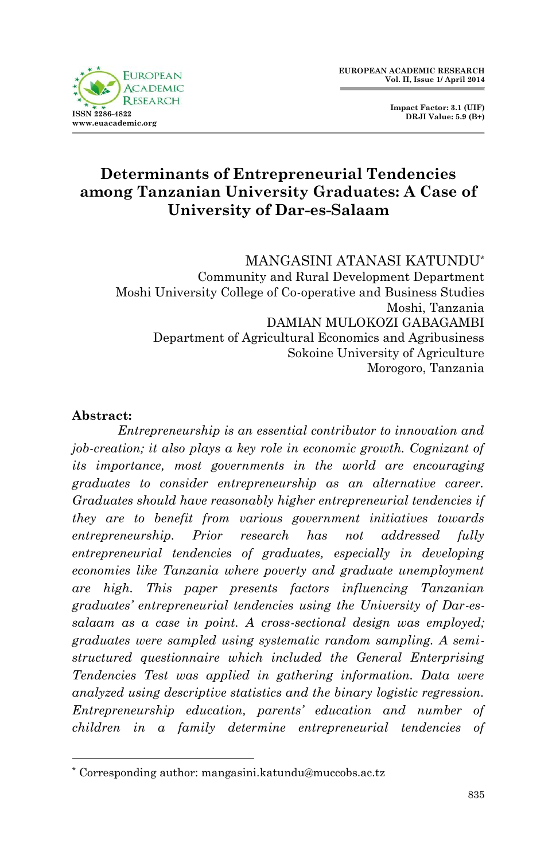

 **Impact Factor: 3.1 (UIF) DRJI Value: 5.9 (B+)**

## **Determinants of Entrepreneurial Tendencies among Tanzanian University Graduates: A Case of University of Dar-es-Salaam**

MANGASINI ATANASI KATUNDU\* Community and Rural Development Department Moshi University College of Co-operative and Business Studies Moshi, Tanzania DAMIAN MULOKOZI GABAGAMBI Department of Agricultural Economics and Agribusiness Sokoine University of Agriculture Morogoro, Tanzania

#### **Abstract:**

1

*Entrepreneurship is an essential contributor to innovation and job-creation; it also plays a key role in economic growth. Cognizant of its importance, most governments in the world are encouraging graduates to consider entrepreneurship as an alternative career. Graduates should have reasonably higher entrepreneurial tendencies if they are to benefit from various government initiatives towards entrepreneurship. Prior research has not addressed fully entrepreneurial tendencies of graduates, especially in developing economies like Tanzania where poverty and graduate unemployment are high. This paper presents factors influencing Tanzanian graduates' entrepreneurial tendencies using the University of Dar-essalaam as a case in point. A cross-sectional design was employed; graduates were sampled using systematic random sampling. A semistructured questionnaire which included the General Enterprising Tendencies Test was applied in gathering information. Data were analyzed using descriptive statistics and the binary logistic regression. Entrepreneurship education, parents' education and number of children in a family determine entrepreneurial tendencies of* 

<sup>\*</sup> Corresponding author: mangasini.katundu@muccobs.ac.tz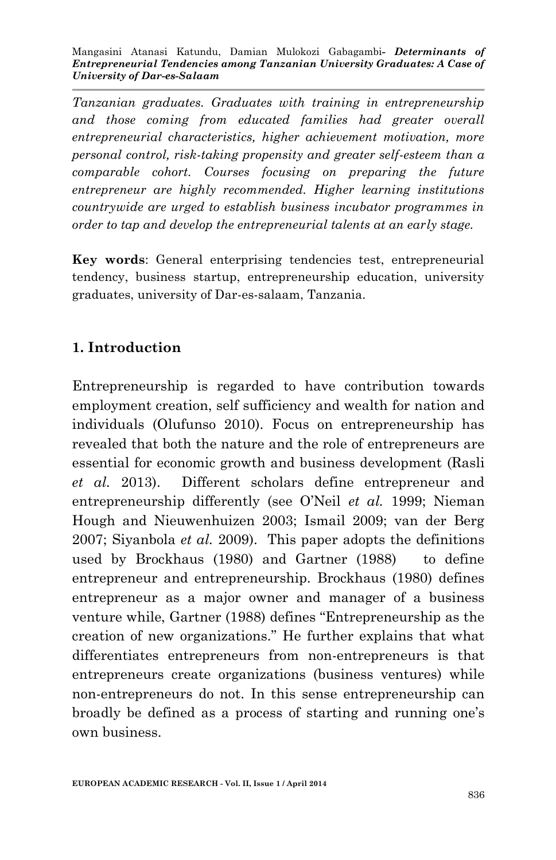*Tanzanian graduates. Graduates with training in entrepreneurship and those coming from educated families had greater overall entrepreneurial characteristics, higher achievement motivation, more personal control, risk-taking propensity and greater self-esteem than a comparable cohort. Courses focusing on preparing the future entrepreneur are highly recommended. Higher learning institutions countrywide are urged to establish business incubator programmes in order to tap and develop the entrepreneurial talents at an early stage.* 

**Key words**: General enterprising tendencies test, entrepreneurial tendency, business startup, entrepreneurship education, university graduates, university of Dar-es-salaam, Tanzania.

## **1. Introduction**

Entrepreneurship is regarded to have contribution towards employment creation, self sufficiency and wealth for nation and individuals (Olufunso 2010). Focus on entrepreneurship has revealed that both the nature and the role of entrepreneurs are essential for economic growth and business development (Rasli *et al.* 2013). Different scholars define entrepreneur and entrepreneurship differently (see O'Neil *et al.* 1999; Nieman Hough and Nieuwenhuizen 2003; Ismail 2009; van der Berg 2007; Siyanbola *et al.* 2009). This paper adopts the definitions used by Brockhaus (1980) and Gartner (1988) to define entrepreneur and entrepreneurship. Brockhaus (1980) defines entrepreneur as a major owner and manager of a business venture while, Gartner (1988) defines "Entrepreneurship as the creation of new organizations." He further explains that what differentiates entrepreneurs from non-entrepreneurs is that entrepreneurs create organizations (business ventures) while non-entrepreneurs do not. In this sense entrepreneurship can broadly be defined as a process of starting and running one's own business.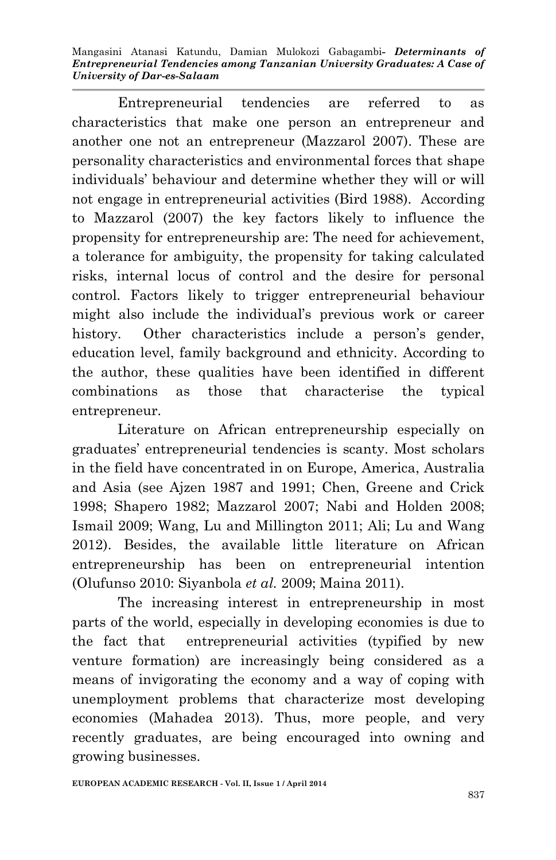Entrepreneurial tendencies are referred to as characteristics that make one person an entrepreneur and another one not an entrepreneur (Mazzarol 2007). These are personality characteristics and environmental forces that shape individuals' behaviour and determine whether they will or will not engage in entrepreneurial activities (Bird 1988). According to Mazzarol (2007) the key factors likely to influence the propensity for entrepreneurship are: The need for achievement, a tolerance for ambiguity, the propensity for taking calculated risks, internal locus of control and the desire for personal control. Factors likely to trigger entrepreneurial behaviour might also include the individual's previous work or career history. Other characteristics include a person's gender, education level, family background and ethnicity. According to the author, these qualities have been identified in different combinations as those that characterise the typical entrepreneur.

Literature on African entrepreneurship especially on graduates' entrepreneurial tendencies is scanty. Most scholars in the field have concentrated in on Europe, America, Australia and Asia (see Ajzen 1987 and 1991; Chen, Greene and Crick 1998; Shapero 1982; Mazzarol 2007; Nabi and Holden 2008; Ismail 2009; Wang, Lu and Millington 2011; Ali; Lu and Wang 2012). Besides, the available little literature on African entrepreneurship has been on entrepreneurial intention (Olufunso 2010: Siyanbola *et al.* 2009; Maina 2011).

The increasing interest in entrepreneurship in most parts of the world, especially in developing economies is due to the fact that entrepreneurial activities (typified by new venture formation) are increasingly being considered as a means of invigorating the economy and a way of coping with unemployment problems that characterize most developing economies (Mahadea 2013). Thus, more people, and very recently graduates, are being encouraged into owning and growing businesses.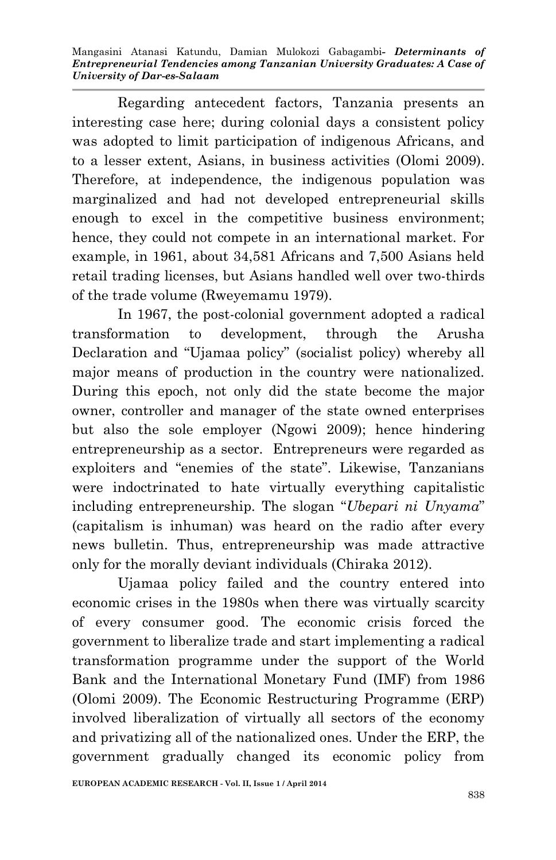Regarding antecedent factors, Tanzania presents an interesting case here; during colonial days a consistent policy was adopted to limit participation of indigenous Africans, and to a lesser extent, Asians, in business activities (Olomi 2009). Therefore, at independence, the indigenous population was marginalized and had not developed entrepreneurial skills enough to excel in the competitive business environment; hence, they could not compete in an international market. For example, in 1961, about 34,581 Africans and 7,500 Asians held retail trading licenses, but Asians handled well over two-thirds of the trade volume (Rweyemamu 1979).

In 1967, the post-colonial government adopted a radical transformation to development, through the Arusha Declaration and "Ujamaa policy" (socialist policy) whereby all major means of production in the country were nationalized. During this epoch, not only did the state become the major owner, controller and manager of the state owned enterprises but also the sole employer (Ngowi 2009); hence hindering entrepreneurship as a sector. Entrepreneurs were regarded as exploiters and "enemies of the state". Likewise, Tanzanians were indoctrinated to hate virtually everything capitalistic including entrepreneurship. The slogan "*Ubepari ni Unyama*" (capitalism is inhuman) was heard on the radio after every news bulletin. Thus, entrepreneurship was made attractive only for the morally deviant individuals (Chiraka 2012).

Ujamaa policy failed and the country entered into economic crises in the 1980s when there was virtually scarcity of every consumer good. The economic crisis forced the government to liberalize trade and start implementing a radical transformation programme under the support of the World Bank and the International Monetary Fund (IMF) from 1986 (Olomi 2009). The Economic Restructuring Programme (ERP) involved liberalization of virtually all sectors of the economy and privatizing all of the nationalized ones. Under the ERP, the government gradually changed its economic policy from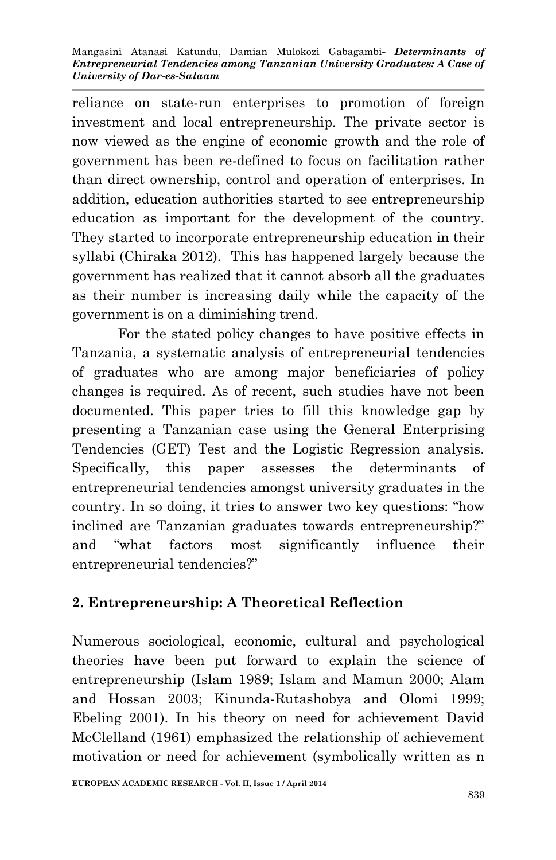reliance on state-run enterprises to promotion of foreign investment and local entrepreneurship. The private sector is now viewed as the engine of economic growth and the role of government has been re-defined to focus on facilitation rather than direct ownership, control and operation of enterprises. In addition, education authorities started to see entrepreneurship education as important for the development of the country. They started to incorporate entrepreneurship education in their syllabi (Chiraka 2012). This has happened largely because the government has realized that it cannot absorb all the graduates as their number is increasing daily while the capacity of the government is on a diminishing trend.

For the stated policy changes to have positive effects in Tanzania, a systematic analysis of entrepreneurial tendencies of graduates who are among major beneficiaries of policy changes is required. As of recent, such studies have not been documented. This paper tries to fill this knowledge gap by presenting a Tanzanian case using the General Enterprising Tendencies (GET) Test and the Logistic Regression analysis. Specifically, this paper assesses the determinants of entrepreneurial tendencies amongst university graduates in the country. In so doing, it tries to answer two key questions: "how inclined are Tanzanian graduates towards entrepreneurship?" and "what factors most significantly influence their entrepreneurial tendencies?"

## **2. Entrepreneurship: A Theoretical Reflection**

Numerous sociological, economic, cultural and psychological theories have been put forward to explain the science of entrepreneurship (Islam 1989; Islam and Mamun 2000; Alam and Hossan 2003; Kinunda-Rutashobya and Olomi 1999; Ebeling 2001). In his theory on need for achievement David McClelland (1961) emphasized the relationship of achievement motivation or need for achievement (symbolically written as n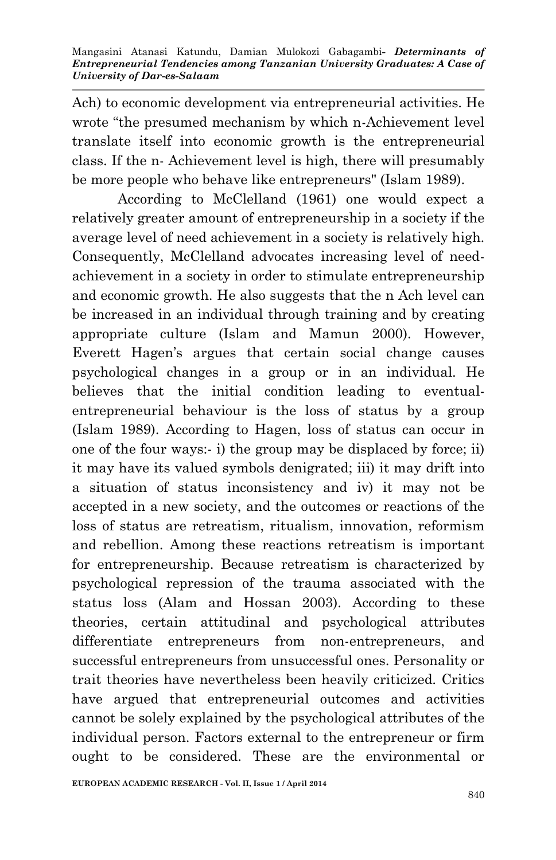Ach) to economic development via entrepreneurial activities. He wrote "the presumed mechanism by which n-Achievement level translate itself into economic growth is the entrepreneurial class. If the n- Achievement level is high, there will presumably be more people who behave like entrepreneurs" (Islam 1989).

According to McClelland (1961) one would expect a relatively greater amount of entrepreneurship in a society if the average level of need achievement in a society is relatively high. Consequently, McClelland advocates increasing level of needachievement in a society in order to stimulate entrepreneurship and economic growth. He also suggests that the n Ach level can be increased in an individual through training and by creating appropriate culture (Islam and Mamun 2000). However, Everett Hagen's argues that certain social change causes psychological changes in a group or in an individual. He believes that the initial condition leading to eventualentrepreneurial behaviour is the loss of status by a group (Islam 1989). According to Hagen, loss of status can occur in one of the four ways:- i) the group may be displaced by force; ii) it may have its valued symbols denigrated; iii) it may drift into a situation of status inconsistency and iv) it may not be accepted in a new society, and the outcomes or reactions of the loss of status are retreatism, ritualism, innovation, reformism and rebellion. Among these reactions retreatism is important for entrepreneurship. Because retreatism is characterized by psychological repression of the trauma associated with the status loss (Alam and Hossan 2003). According to these theories, certain attitudinal and psychological attributes differentiate entrepreneurs from non-entrepreneurs, and successful entrepreneurs from unsuccessful ones. Personality or trait theories have nevertheless been heavily criticized. Critics have argued that entrepreneurial outcomes and activities cannot be solely explained by the psychological attributes of the individual person. Factors external to the entrepreneur or firm ought to be considered. These are the environmental or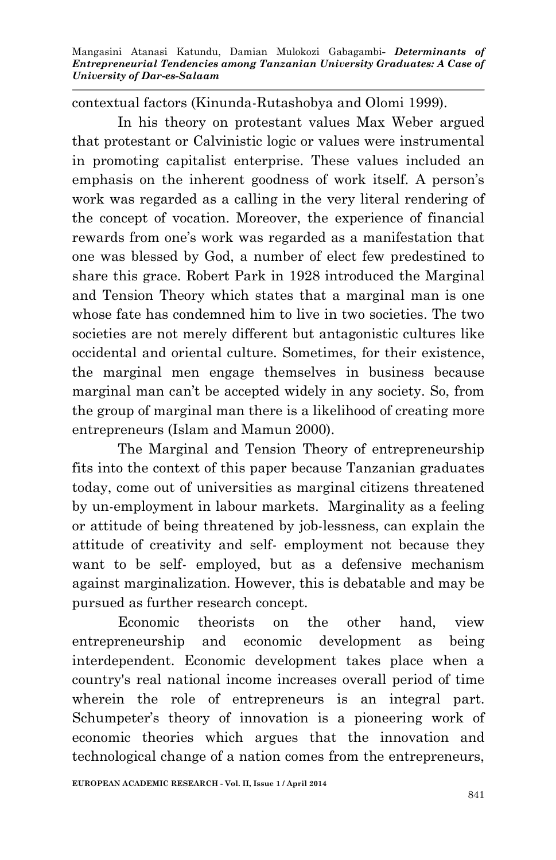contextual factors (Kinunda-Rutashobya and Olomi 1999).

In his theory on protestant values Max Weber argued that protestant or Calvinistic logic or values were instrumental in promoting capitalist enterprise. These values included an emphasis on the inherent goodness of work itself. A person's work was regarded as a calling in the very literal rendering of the concept of vocation. Moreover, the experience of financial rewards from one's work was regarded as a manifestation that one was blessed by God, a number of elect few predestined to share this grace. Robert Park in 1928 introduced the Marginal and Tension Theory which states that a marginal man is one whose fate has condemned him to live in two societies. The two societies are not merely different but antagonistic cultures like occidental and oriental culture. Sometimes, for their existence, the marginal men engage themselves in business because marginal man can't be accepted widely in any society. So, from the group of marginal man there is a likelihood of creating more entrepreneurs (Islam and Mamun 2000).

The Marginal and Tension Theory of entrepreneurship fits into the context of this paper because Tanzanian graduates today, come out of universities as marginal citizens threatened by un-employment in labour markets. Marginality as a feeling or attitude of being threatened by job-lessness, can explain the attitude of creativity and self- employment not because they want to be self- employed, but as a defensive mechanism against marginalization. However, this is debatable and may be pursued as further research concept.

Economic theorists on the other hand, view entrepreneurship and economic development as being interdependent. Economic development takes place when a country's real national income increases overall period of time wherein the role of entrepreneurs is an integral part. Schumpeter's theory of innovation is a pioneering work of economic theories which argues that the innovation and technological change of a nation comes from the entrepreneurs,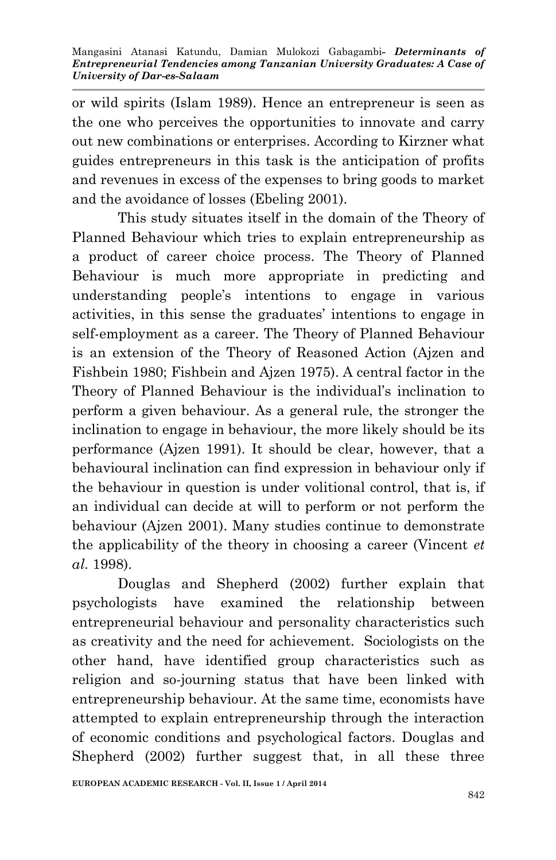or wild spirits (Islam 1989). Hence an entrepreneur is seen as the one who perceives the opportunities to innovate and carry out new combinations or enterprises. According to Kirzner what guides entrepreneurs in this task is the anticipation of profits and revenues in excess of the expenses to bring goods to market and the avoidance of losses (Ebeling 2001).

This study situates itself in the domain of the Theory of Planned Behaviour which tries to explain entrepreneurship as a product of career choice process. The Theory of Planned Behaviour is much more appropriate in predicting and understanding people's intentions to engage in various activities, in this sense the graduates' intentions to engage in self-employment as a career. The Theory of Planned Behaviour is an extension of the Theory of Reasoned Action (Ajzen and Fishbein 1980; Fishbein and Ajzen 1975). A central factor in the Theory of Planned Behaviour is the individual's inclination to perform a given behaviour. As a general rule, the stronger the inclination to engage in behaviour, the more likely should be its performance (Ajzen 1991). It should be clear, however, that a behavioural inclination can find expression in behaviour only if the behaviour in question is under volitional control, that is, if an individual can decide at will to perform or not perform the behaviour (Ajzen 2001). Many studies continue to demonstrate the applicability of the theory in choosing a career (Vincent *et al.* 1998).

Douglas and Shepherd (2002) further explain that psychologists have examined the relationship between entrepreneurial behaviour and personality characteristics such as creativity and the need for achievement. Sociologists on the other hand, have identified group characteristics such as religion and so-journing status that have been linked with entrepreneurship behaviour. At the same time, economists have attempted to explain entrepreneurship through the interaction of economic conditions and psychological factors. Douglas and Shepherd (2002) further suggest that, in all these three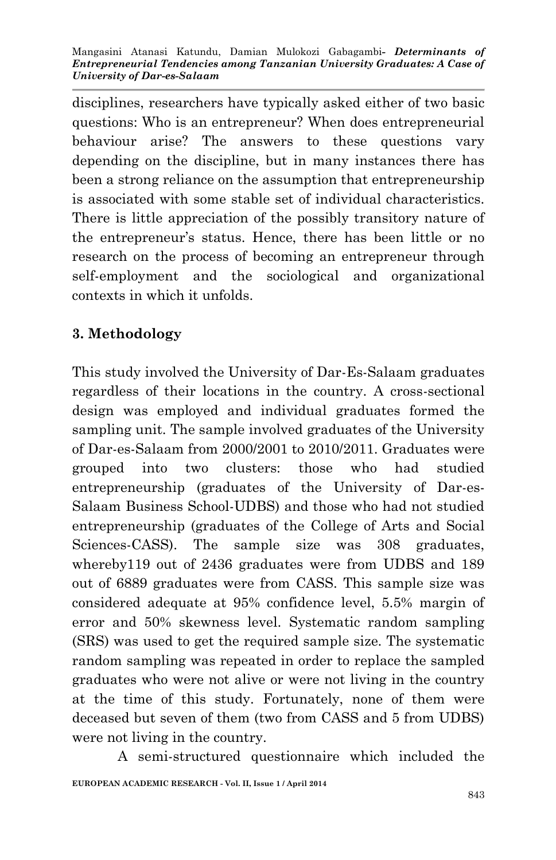disciplines, researchers have typically asked either of two basic questions: Who is an entrepreneur? When does entrepreneurial behaviour arise? The answers to these questions vary depending on the discipline, but in many instances there has been a strong reliance on the assumption that entrepreneurship is associated with some stable set of individual characteristics. There is little appreciation of the possibly transitory nature of the entrepreneur's status. Hence, there has been little or no research on the process of becoming an entrepreneur through self-employment and the sociological and organizational contexts in which it unfolds.

## **3. Methodology**

This study involved the University of Dar-Es-Salaam graduates regardless of their locations in the country. A cross-sectional design was employed and individual graduates formed the sampling unit. The sample involved graduates of the University of Dar-es-Salaam from 2000/2001 to 2010/2011. Graduates were grouped into two clusters: those who had studied entrepreneurship (graduates of the University of Dar-es-Salaam Business School-UDBS) and those who had not studied entrepreneurship (graduates of the College of Arts and Social Sciences-CASS). The sample size was 308 graduates, whereby119 out of 2436 graduates were from UDBS and 189 out of 6889 graduates were from CASS. This sample size was considered adequate at 95% confidence level, 5.5% margin of error and 50% skewness level. Systematic random sampling (SRS) was used to get the required sample size. The systematic random sampling was repeated in order to replace the sampled graduates who were not alive or were not living in the country at the time of this study. Fortunately, none of them were deceased but seven of them (two from CASS and 5 from UDBS) were not living in the country.

**EUROPEAN ACADEMIC RESEARCH - Vol. II, Issue 1 / April 2014** A semi-structured questionnaire which included the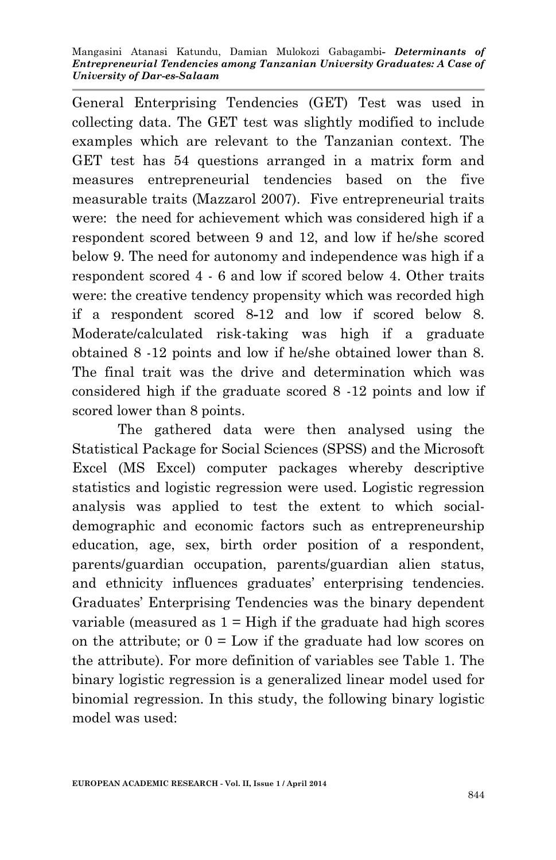General Enterprising Tendencies (GET) Test was used in collecting data. The GET test was slightly modified to include examples which are relevant to the Tanzanian context. The GET test has 54 questions arranged in a matrix form and measures entrepreneurial tendencies based on the five measurable traits (Mazzarol 2007). Five entrepreneurial traits were: the need for achievement which was considered high if a respondent scored between 9 and 12, and low if he/she scored below 9. The need for autonomy and independence was high if a respondent scored 4 - 6 and low if scored below 4. Other traits were: the creative tendency propensity which was recorded high if a respondent scored 8**-**12 and low if scored below 8. Moderate/calculated risk-taking was high if a graduate obtained 8 -12 points and low if he/she obtained lower than 8. The final trait was the drive and determination which was considered high if the graduate scored 8 -12 points and low if scored lower than 8 points.

The gathered data were then analysed using the Statistical Package for Social Sciences (SPSS) and the Microsoft Excel (MS Excel) computer packages whereby descriptive statistics and logistic regression were used. Logistic regression analysis was applied to test the extent to which socialdemographic and economic factors such as entrepreneurship education, age, sex, birth order position of a respondent, parents/guardian occupation, parents/guardian alien status, and ethnicity influences graduates' enterprising tendencies. Graduates' Enterprising Tendencies was the binary dependent variable (measured as  $1 =$  High if the graduate had high scores on the attribute; or  $0 = Low$  if the graduate had low scores on the attribute). For more definition of variables see Table 1. The binary logistic regression is a generalized linear model used for binomial regression. In this study, the following binary logistic model was used: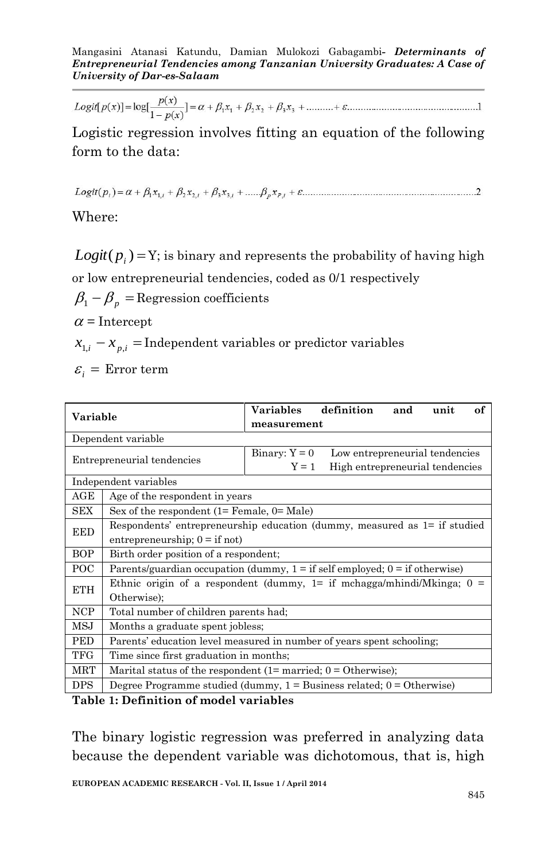Logistic regression involves fitting an equation of the following form to the data:

Where:

 $Logit(p_i) = Y$ ; is binary and represents the probability of having high or low entrepreneurial tendencies, coded as 0/1 respectively

 $\beta_1 - \beta_1 =$ Regression coefficients

 $\alpha$  = Intercept

 $x_{1,i} - x_{p,i}$  = Independent variables or predictor variables

 $\varepsilon$ <sub>*i*</sub> = Error term

| Variable   |                                                                                 | <b>Variables</b> | definition                      | and | unit | of |  |
|------------|---------------------------------------------------------------------------------|------------------|---------------------------------|-----|------|----|--|
|            |                                                                                 | measurement      |                                 |     |      |    |  |
|            | Dependent variable                                                              |                  |                                 |     |      |    |  |
|            | Entrepreneurial tendencies                                                      | Binary: $Y = 0$  | Low entrepreneurial tendencies  |     |      |    |  |
|            |                                                                                 | $Y = 1$          | High entrepreneurial tendencies |     |      |    |  |
|            | Independent variables                                                           |                  |                                 |     |      |    |  |
| $\rm{AGE}$ | Age of the respondent in years                                                  |                  |                                 |     |      |    |  |
| SEX        | Sex of the respondent $(1 =$ Female, $0 =$ Male)                                |                  |                                 |     |      |    |  |
| <b>EED</b> | Respondents' entrepreneurship education (dummy, measured as 1= if studied       |                  |                                 |     |      |    |  |
|            | entrepreneurship; $0 = if not$ )                                                |                  |                                 |     |      |    |  |
| <b>BOP</b> | Birth order position of a respondent;                                           |                  |                                 |     |      |    |  |
| POC        | Parents/guardian occupation (dummy, $1 =$ if self employed; $0 =$ if otherwise) |                  |                                 |     |      |    |  |
| ETH        | Ethnic origin of a respondent (dummy, $1 =$ if mchagga/mhindi/Mkinga; $0 =$     |                  |                                 |     |      |    |  |
|            | Otherwise:                                                                      |                  |                                 |     |      |    |  |
| NCP        | Total number of children parents had;                                           |                  |                                 |     |      |    |  |
| MSJ        | Months a graduate spent jobless;                                                |                  |                                 |     |      |    |  |
| PED        | Parents' education level measured in number of years spent schooling;           |                  |                                 |     |      |    |  |
| TFG        | Time since first graduation in months;                                          |                  |                                 |     |      |    |  |
| <b>MRT</b> | Marital status of the respondent $(1=$ married; $0=$ Otherwise);                |                  |                                 |     |      |    |  |
| <b>DPS</b> | Degree Programme studied (dummy, $1 =$ Business related; $0 =$ Otherwise)       |                  |                                 |     |      |    |  |

**Table 1: Definition of model variables**

The binary logistic regression was preferred in analyzing data because the dependent variable was dichotomous, that is, high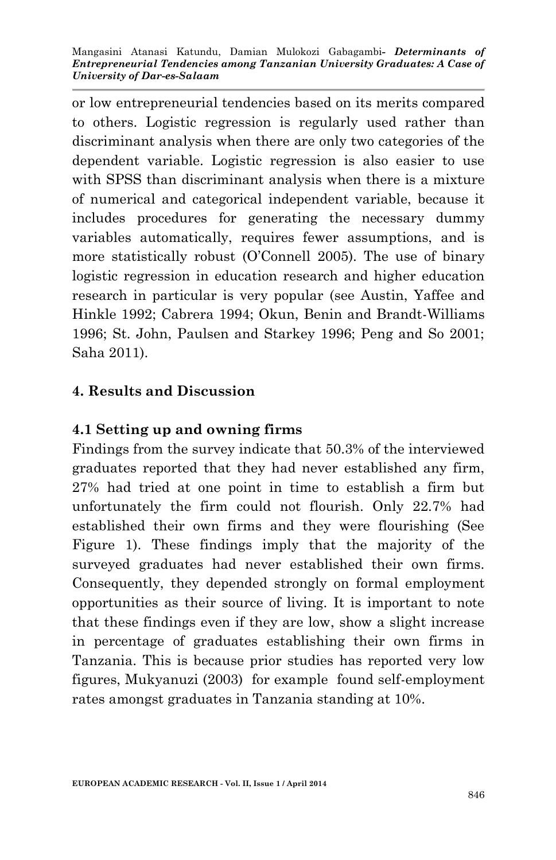or low entrepreneurial tendencies based on its merits compared to others. Logistic regression is regularly used rather than discriminant analysis when there are only two categories of the dependent variable. Logistic regression is also easier to use with SPSS than discriminant analysis when there is a mixture of numerical and categorical independent variable, because it includes procedures for generating the necessary dummy variables automatically, requires fewer assumptions, and is more statistically robust (O'Connell 2005). The use of binary logistic regression in education research and higher education research in particular is very popular (see Austin, Yaffee and Hinkle 1992; Cabrera 1994; Okun, Benin and Brandt-Williams 1996; St. John, Paulsen and Starkey 1996; Peng and So 2001; Saha 2011).

### **4. Results and Discussion**

### **4.1 Setting up and owning firms**

Findings from the survey indicate that 50.3% of the interviewed graduates reported that they had never established any firm, 27% had tried at one point in time to establish a firm but unfortunately the firm could not flourish. Only 22.7% had established their own firms and they were flourishing (See Figure 1). These findings imply that the majority of the surveyed graduates had never established their own firms. Consequently, they depended strongly on formal employment opportunities as their source of living. It is important to note that these findings even if they are low, show a slight increase in percentage of graduates establishing their own firms in Tanzania. This is because prior studies has reported very low figures, Mukyanuzi (2003) for example found self-employment rates amongst graduates in Tanzania standing at 10%.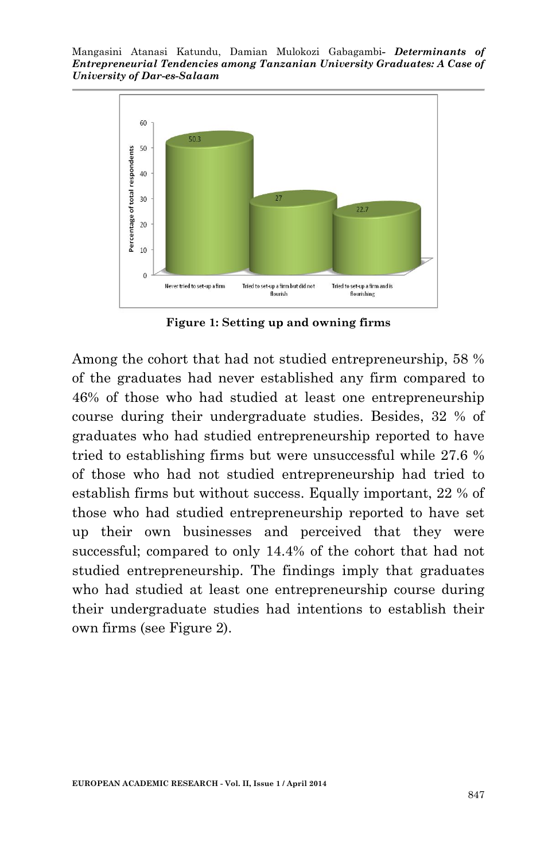

**Figure 1: Setting up and owning firms**

Among the cohort that had not studied entrepreneurship, 58 % of the graduates had never established any firm compared to 46% of those who had studied at least one entrepreneurship course during their undergraduate studies. Besides, 32 % of graduates who had studied entrepreneurship reported to have tried to establishing firms but were unsuccessful while 27.6 % of those who had not studied entrepreneurship had tried to establish firms but without success. Equally important, 22 % of those who had studied entrepreneurship reported to have set up their own businesses and perceived that they were successful; compared to only 14.4% of the cohort that had not studied entrepreneurship. The findings imply that graduates who had studied at least one entrepreneurship course during their undergraduate studies had intentions to establish their own firms (see Figure 2).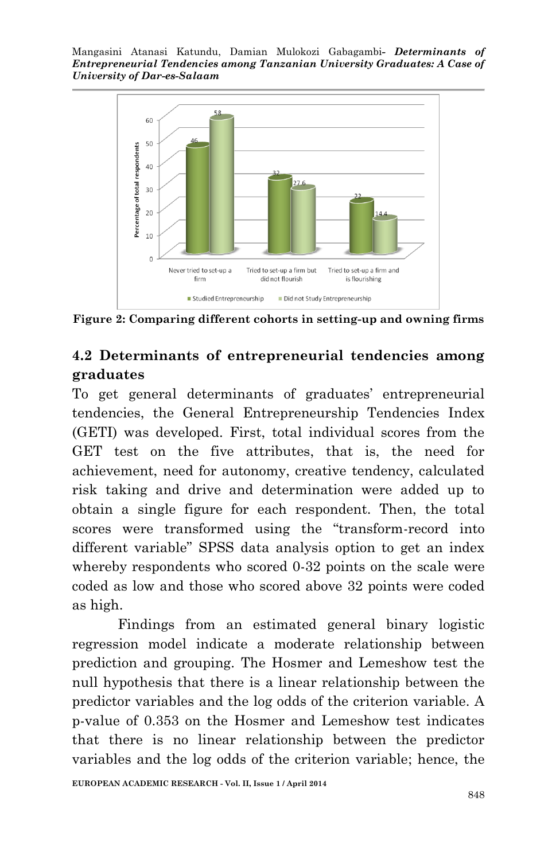

**Figure 2: Comparing different cohorts in setting-up and owning firms**

## **4.2 Determinants of entrepreneurial tendencies among graduates**

To get general determinants of graduates' entrepreneurial tendencies, the General Entrepreneurship Tendencies Index (GETI) was developed. First, total individual scores from the GET test on the five attributes, that is, the need for achievement, need for autonomy, creative tendency, calculated risk taking and drive and determination were added up to obtain a single figure for each respondent. Then, the total scores were transformed using the "transform-record into different variable" SPSS data analysis option to get an index whereby respondents who scored 0-32 points on the scale were coded as low and those who scored above 32 points were coded as high.

Findings from an estimated general binary logistic regression model indicate a moderate relationship between prediction and grouping. The Hosmer and Lemeshow test the null hypothesis that there is a linear relationship between the predictor variables and the log odds of the criterion variable. A p-value of 0.353 on the Hosmer and Lemeshow test indicates that there is no linear relationship between the predictor variables and the log odds of the criterion variable; hence, the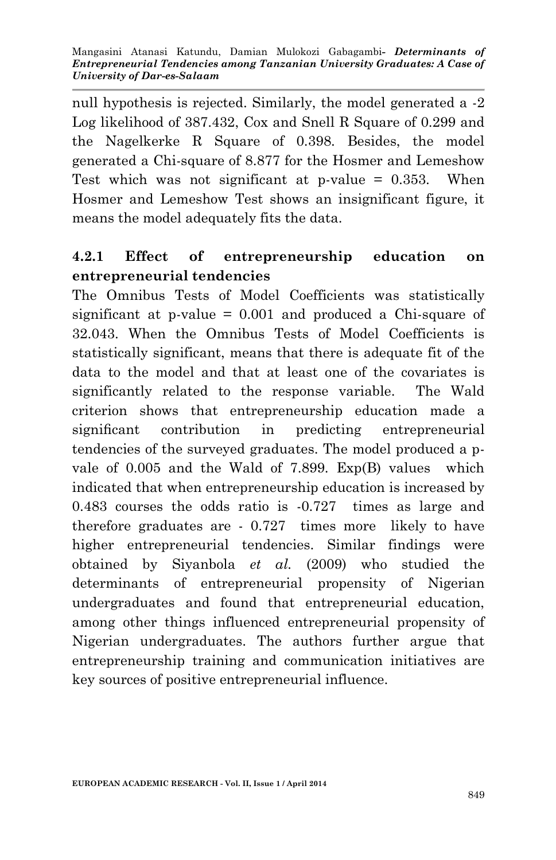null hypothesis is rejected. Similarly, the model generated a -2 Log likelihood of 387.432, Cox and Snell R Square of 0.299 and the Nagelkerke R Square of 0.398. Besides, the model generated a Chi-square of 8.877 for the Hosmer and Lemeshow Test which was not significant at p-value  $= 0.353$ . When Hosmer and Lemeshow Test shows an insignificant figure, it means the model adequately fits the data.

### **4.2.1 Effect of entrepreneurship education on entrepreneurial tendencies**

The Omnibus Tests of Model Coefficients was statistically significant at p-value = 0.001 and produced a Chi-square of 32.043. When the Omnibus Tests of Model Coefficients is statistically significant, means that there is adequate fit of the data to the model and that at least one of the covariates is significantly related to the response variable. The Wald criterion shows that entrepreneurship education made a significant contribution in predicting entrepreneurial tendencies of the surveyed graduates. The model produced a pvale of 0.005 and the Wald of 7.899. Exp(B) values which indicated that when entrepreneurship education is increased by 0.483 courses the odds ratio is -0.727 times as large and therefore graduates are - 0.727 times more likely to have higher entrepreneurial tendencies. Similar findings were obtained by Siyanbola *et al.* (2009) who studied the determinants of entrepreneurial propensity of Nigerian undergraduates and found that entrepreneurial education, among other things influenced entrepreneurial propensity of Nigerian undergraduates. The authors further argue that entrepreneurship training and communication initiatives are key sources of positive entrepreneurial influence.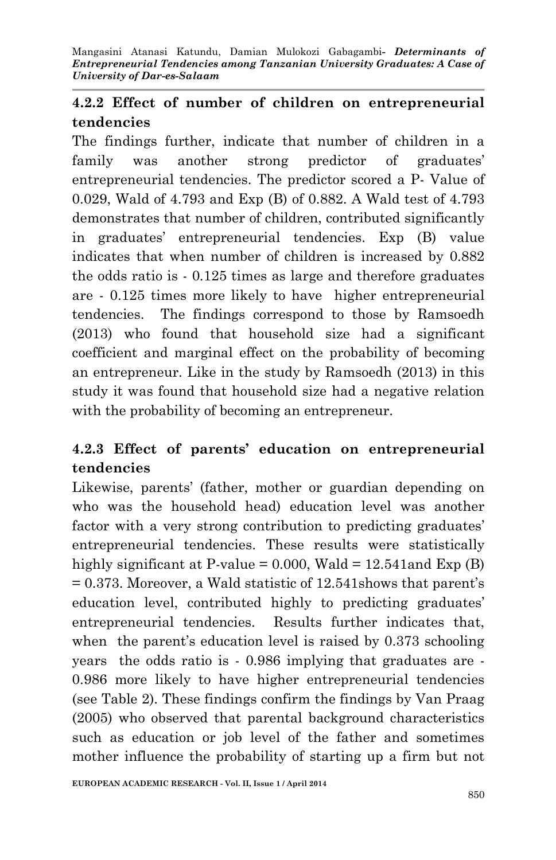## **4.2.2 Effect of number of children on entrepreneurial tendencies**

The findings further, indicate that number of children in a family was another strong predictor of graduates' entrepreneurial tendencies. The predictor scored a P- Value of 0.029, Wald of 4.793 and Exp (B) of 0.882. A Wald test of 4.793 demonstrates that number of children, contributed significantly in graduates' entrepreneurial tendencies. Exp (B) value indicates that when number of children is increased by 0.882 the odds ratio is - 0.125 times as large and therefore graduates are - 0.125 times more likely to have higher entrepreneurial tendencies. The findings correspond to those by Ramsoedh (2013) who found that household size had a significant coefficient and marginal effect on the probability of becoming an entrepreneur. Like in the study by Ramsoedh (2013) in this study it was found that household size had a negative relation with the probability of becoming an entrepreneur.

# **4.2.3 Effect of parents' education on entrepreneurial tendencies**

Likewise, parents' (father, mother or guardian depending on who was the household head) education level was another factor with a very strong contribution to predicting graduates' entrepreneurial tendencies. These results were statistically highly significant at P-value =  $0.000$ , Wald =  $12.541$  and Exp (B) = 0.373. Moreover, a Wald statistic of 12.541shows that parent's education level, contributed highly to predicting graduates' entrepreneurial tendencies. Results further indicates that, when the parent's education level is raised by 0.373 schooling years the odds ratio is - 0.986 implying that graduates are - 0.986 more likely to have higher entrepreneurial tendencies (see Table 2). These findings confirm the findings by Van Praag (2005) who observed that parental background characteristics such as education or job level of the father and sometimes mother influence the probability of starting up a firm but not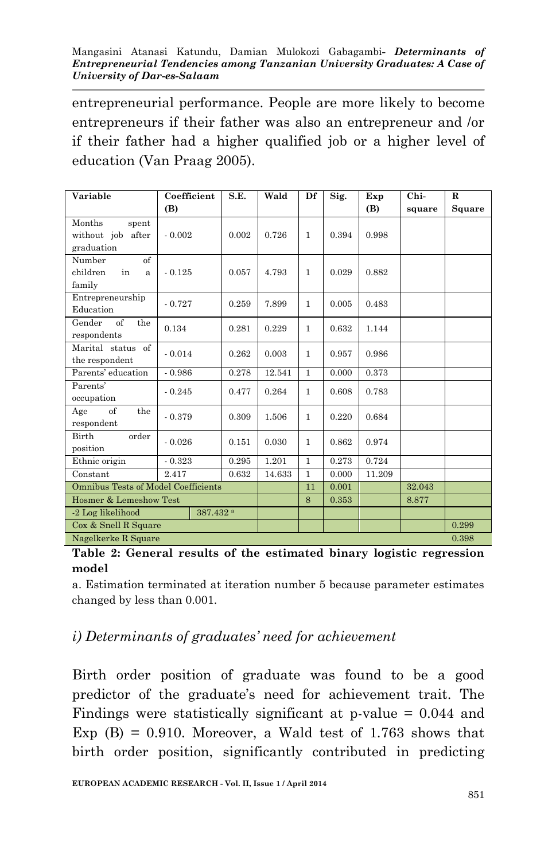entrepreneurial performance. People are more likely to become entrepreneurs if their father was also an entrepreneur and /or if their father had a higher qualified job or a higher level of education (Van Praag 2005).

| Variable                                   | Coefficient |           | S.E.  | Wald   | Df           | Sig.  | Exp    | $Chi-$ | R      |
|--------------------------------------------|-------------|-----------|-------|--------|--------------|-------|--------|--------|--------|
|                                            | (B)         |           |       |        |              |       | (B)    | square | Square |
| Months<br>spent<br>without job after       | $-0.002$    |           | 0.002 | 0.726  | $\mathbf{1}$ | 0.394 | 0.998  |        |        |
| graduation                                 |             |           |       |        |              |       |        |        |        |
| of<br>Number                               |             |           |       |        |              |       |        |        |        |
| children<br>in<br>a                        | $-0.125$    |           | 0.057 | 4.793  | $\mathbf{1}$ | 0.029 | 0.882  |        |        |
| family                                     |             |           |       |        |              |       |        |        |        |
| Entrepreneurship<br>Education              | $-0.727$    |           | 0.259 | 7.899  | $\mathbf{1}$ | 0.005 | 0.483  |        |        |
| $\alpha$ f<br>Gender<br>the<br>respondents | 0.134       |           | 0.281 | 0.229  | $\mathbf{1}$ | 0.632 | 1.144  |        |        |
| Marital status of<br>the respondent        | $-0.014$    |           | 0.262 | 0.003  | $\mathbf{1}$ | 0.957 | 0.986  |        |        |
| Parents' education                         | $-0.986$    |           | 0.278 | 12.541 | $\mathbf{1}$ | 0.000 | 0.373  |        |        |
| Parents'<br>occupation                     | $-0.245$    |           | 0.477 | 0.264  | $\mathbf{1}$ | 0.608 | 0.783  |        |        |
| $\alpha$ f<br>the<br>Age<br>respondent     | $-0.379$    |           | 0.309 | 1.506  | $\mathbf{1}$ | 0.220 | 0.684  |        |        |
| Birth<br>order<br>position                 | $-0.026$    |           | 0.151 | 0.030  | $\mathbf{1}$ | 0.862 | 0.974  |        |        |
| Ethnic origin                              | $-0.323$    |           | 0.295 | 1.201  | $\mathbf{1}$ | 0.273 | 0.724  |        |        |
| Constant                                   | 2.417       |           | 0.632 | 14.633 | $\mathbf{1}$ | 0.000 | 11.209 |        |        |
| Omnibus Tests of Model Coefficients        |             |           |       |        | 11           | 0.001 |        | 32.043 |        |
| Hosmer & Lemeshow Test                     |             |           |       |        | 8            | 0.353 |        | 8.877  |        |
| -2 Log likelihood                          |             | 387.432 a |       |        |              |       |        |        |        |
| Cox & Snell R Square                       |             |           |       |        |              |       |        |        | 0.299  |
| Nagelkerke R Square                        |             |           |       |        |              | 0.398 |        |        |        |

**Table 2: General results of the estimated binary logistic regression model**

a. Estimation terminated at iteration number 5 because parameter estimates changed by less than 0.001.

### *i) Determinants of graduates' need for achievement*

Birth order position of graduate was found to be a good predictor of the graduate's need for achievement trait. The Findings were statistically significant at p-value = 0.044 and Exp  $(B) = 0.910$ . Moreover, a Wald test of 1.763 shows that birth order position, significantly contributed in predicting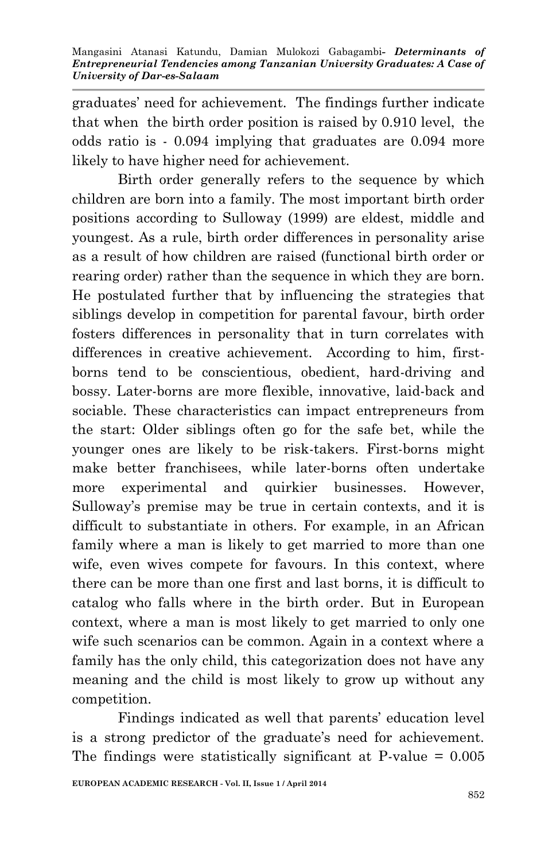graduates' need for achievement. The findings further indicate that when the birth order position is raised by 0.910 level, the odds ratio is - 0.094 implying that graduates are 0.094 more likely to have higher need for achievement.

Birth order generally refers to the sequence by which children are born into a family. The most important birth order positions according to Sulloway (1999) are eldest, middle and youngest. As a rule, birth order differences in personality arise as a result of how children are raised (functional birth order or rearing order) rather than the sequence in which they are born. He postulated further that by influencing the strategies that siblings develop in competition for parental favour, birth order fosters differences in personality that in turn correlates with differences in creative achievement. According to him, firstborns tend to be conscientious, obedient, hard-driving and bossy. Later-borns are more flexible, innovative, laid-back and sociable. These characteristics can impact entrepreneurs from the start: Older siblings often go for the safe bet, while the younger ones are likely to be risk-takers. First-borns might make better franchisees, while later-borns often undertake more experimental and quirkier businesses. However, Sulloway's premise may be true in certain contexts, and it is difficult to substantiate in others. For example, in an African family where a man is likely to get married to more than one wife, even wives compete for favours. In this context, where there can be more than one first and last borns, it is difficult to catalog who falls where in the birth order. But in European context, where a man is most likely to get married to only one wife such scenarios can be common. Again in a context where a family has the only child, this categorization does not have any meaning and the child is most likely to grow up without any competition.

Findings indicated as well that parents' education level is a strong predictor of the graduate's need for achievement. The findings were statistically significant at P-value  $= 0.005$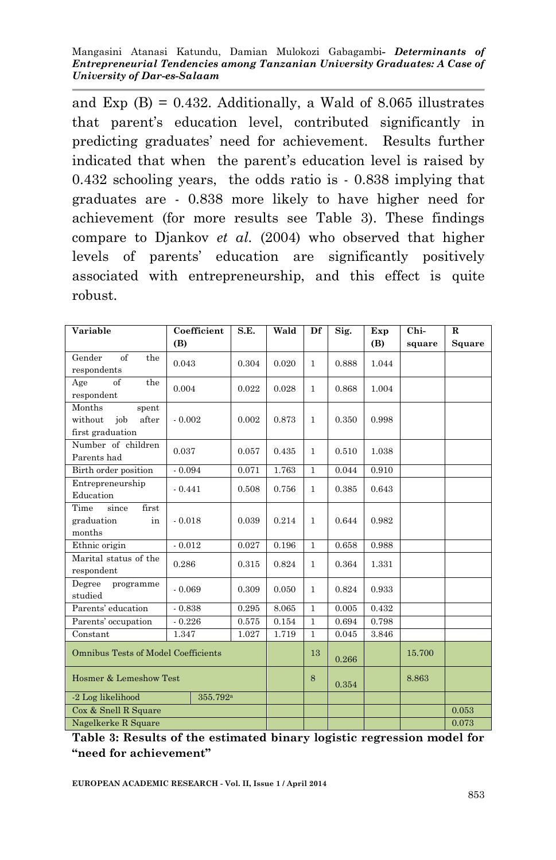and Exp  $(B) = 0.432$ . Additionally, a Wald of 8.065 illustrates that parent's education level, contributed significantly in predicting graduates' need for achievement. Results further indicated that when the parent's education level is raised by 0.432 schooling years, the odds ratio is - 0.838 implying that graduates are - 0.838 more likely to have higher need for achievement (for more results see Table 3). These findings compare to Djankov *et al.* (2004) who observed that higher levels of parents' education are significantly positively associated with entrepreneurship, and this effect is quite robust.

| Variable                                                       | Coefficient          | S.E.  | Wald  | Df           | Sig.  | Exp   | Chi-   | R      |
|----------------------------------------------------------------|----------------------|-------|-------|--------------|-------|-------|--------|--------|
|                                                                | (B)                  |       |       |              |       | (B)   | square | Square |
| $\alpha$ f<br>Gender<br>the<br>respondents                     | 0.043                | 0.304 | 0.020 | $\mathbf{1}$ | 0.888 | 1.044 |        |        |
| $\sigma$<br>the<br>Age<br>respondent                           | 0.004                | 0.022 | 0.028 | 1.           | 0.868 | 1.004 |        |        |
| Months<br>spent<br>without<br>iob<br>after<br>first graduation | $-0.002$             | 0.002 | 0.873 | $\mathbf{1}$ | 0.350 | 0.998 |        |        |
| Number of children<br>Parents had                              | 0.037                | 0.057 | 0.435 | $\mathbf{1}$ | 0.510 | 1.038 |        |        |
| Birth order position                                           | $-0.094$             | 0.071 | 1.763 | 1            | 0.044 | 0.910 |        |        |
| Entrepreneurship<br>Education                                  | $-0.441$             | 0.508 | 0.756 | $\mathbf{1}$ | 0.385 | 0.643 |        |        |
| first<br>Time<br>since<br>graduation<br>in<br>months           | $-0.018$             | 0.039 | 0.214 | 1            | 0.644 | 0.982 |        |        |
| Ethnic origin                                                  | $-0.012$             | 0.027 | 0.196 | $\mathbf{1}$ | 0.658 | 0.988 |        |        |
| Marital status of the<br>respondent                            | 0.286                | 0.315 | 0.824 | $\mathbf{1}$ | 0.364 | 1.331 |        |        |
| Degree<br>programme<br>studied                                 | $-0.069$             | 0.309 | 0.050 | 1            | 0.824 | 0.933 |        |        |
| Parents' education                                             | $-0.838$             | 0.295 | 8.065 | $\mathbf{1}$ | 0.005 | 0.432 |        |        |
| Parents' occupation                                            | $-0.226$             | 0.575 | 0.154 | $\mathbf{1}$ | 0.694 | 0.798 |        |        |
| Constant                                                       | 1.347                | 1.027 | 1.719 | 1            | 0.045 | 3.846 |        |        |
| Omnibus Tests of Model Coefficients                            |                      |       |       | 13           | 0.266 |       | 15.700 |        |
| Hosmer & Lemeshow Test                                         |                      |       |       | 8            | 0.354 |       | 8.863  |        |
| -2 Log likelihood                                              | 355.792 <sup>a</sup> |       |       |              |       |       |        |        |
| Cox & Snell R Square                                           |                      |       |       |              |       |       |        | 0.053  |
| Nagelkerke R Square                                            |                      |       |       |              |       |       |        | 0.073  |

**Table 3: Results of the estimated binary logistic regression model for "need for achievement"**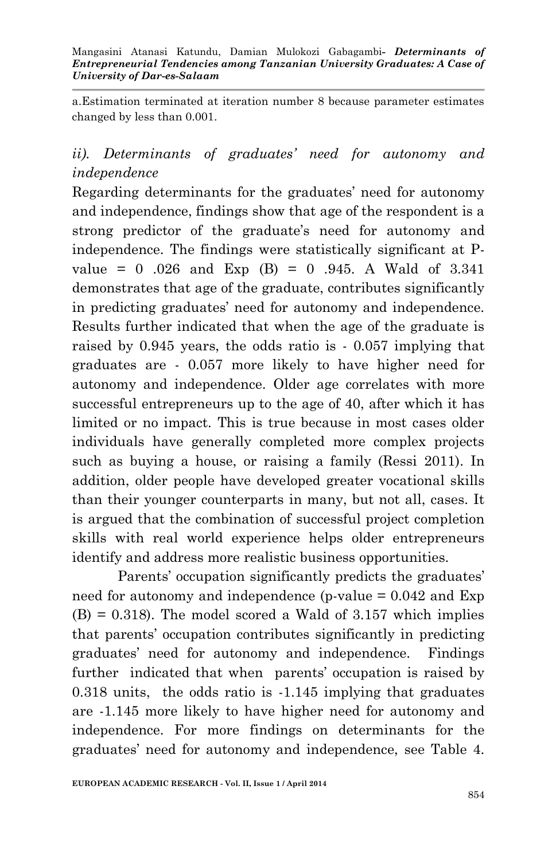a.Estimation terminated at iteration number 8 because parameter estimates changed by less than 0.001.

## *ii). Determinants of graduates' need for autonomy and independence*

Regarding determinants for the graduates' need for autonomy and independence, findings show that age of the respondent is a strong predictor of the graduate's need for autonomy and independence. The findings were statistically significant at Pvalue = 0 .026 and Exp  $(B) = 0$  .945. A Wald of 3.341 demonstrates that age of the graduate, contributes significantly in predicting graduates' need for autonomy and independence. Results further indicated that when the age of the graduate is raised by 0.945 years, the odds ratio is - 0.057 implying that graduates are - 0.057 more likely to have higher need for autonomy and independence. Older age correlates with more successful entrepreneurs up to the age of 40, after which it has limited or no impact. This is true because in most cases older individuals have generally completed more complex projects such as buying a house, or raising a family (Ressi 2011). In addition, older people have developed greater vocational skills than their younger counterparts in many, but not all, cases. It is argued that the combination of successful project completion skills with real world experience helps older entrepreneurs identify and address more realistic business opportunities.

Parents' occupation significantly predicts the graduates' need for autonomy and independence (p-value  $= 0.042$  and Exp  $(B) = 0.318$ . The model scored a Wald of 3.157 which implies that parents' occupation contributes significantly in predicting graduates' need for autonomy and independence. Findings further indicated that when parents' occupation is raised by 0.318 units, the odds ratio is -1.145 implying that graduates are -1.145 more likely to have higher need for autonomy and independence. For more findings on determinants for the graduates' need for autonomy and independence, see Table 4.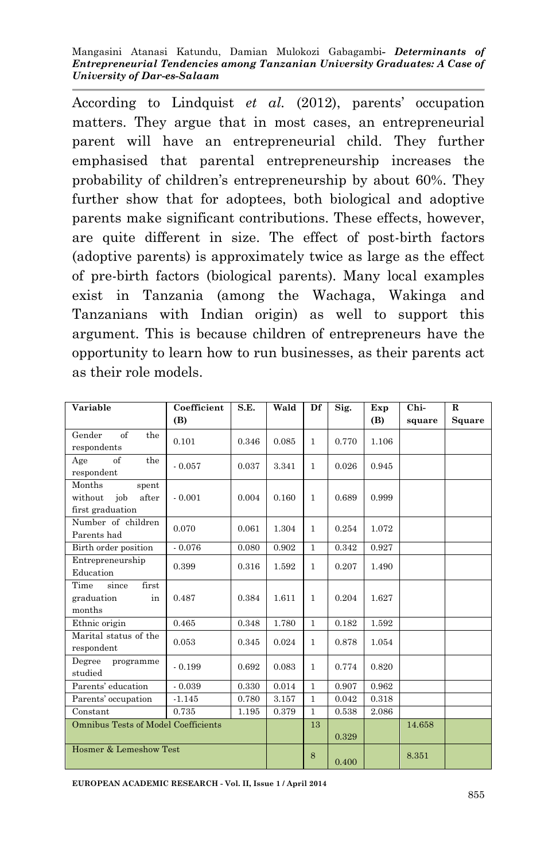According to Lindquist *et al.* (2012), parents' occupation matters. They argue that in most cases, an entrepreneurial parent will have an entrepreneurial child. They further emphasised that parental entrepreneurship increases the probability of children's entrepreneurship by about 60%. They further show that for adoptees, both biological and adoptive parents make significant contributions. These effects, however, are quite different in size. The effect of post-birth factors (adoptive parents) is approximately twice as large as the effect of pre-birth factors (biological parents). Many local examples exist in Tanzania (among the Wachaga, Wakinga and Tanzanians with Indian origin) as well to support this argument. This is because children of entrepreneurs have the opportunity to learn how to run businesses, as their parents act as their role models.

| Variable                                                               | Coefficient | S.E.  | Wald  | Df           | Sig.  | Exp   | Chi-   | R      |
|------------------------------------------------------------------------|-------------|-------|-------|--------------|-------|-------|--------|--------|
|                                                                        | (B)         |       |       |              |       | (B)   | square | Square |
| $\alpha$ <sup><math>\beta</math></sup><br>Gender<br>the<br>respondents | 0.101       | 0.346 | 0.085 | $\mathbf{1}$ | 0.770 | 1.106 |        |        |
| of<br>Age<br>the<br>respondent                                         | $-0.057$    | 0.037 | 3.341 | $\mathbf{1}$ | 0.026 | 0.945 |        |        |
| Months<br>spent<br>iob<br>after<br>without<br>first graduation         | $-0.001$    | 0.004 | 0.160 | $\mathbf{1}$ | 0.689 | 0.999 |        |        |
| Number of children<br>Parents had                                      | 0.070       | 0.061 | 1.304 | $\mathbf{1}$ | 0.254 | 1.072 |        |        |
| Birth order position                                                   | $-0.076$    | 0.080 | 0.902 | $\mathbf{1}$ | 0.342 | 0.927 |        |        |
| Entrepreneurship<br>Education                                          | 0.399       | 0.316 | 1.592 | $\mathbf{1}$ | 0.207 | 1.490 |        |        |
| first<br>Time<br>since<br>graduation<br>in<br>months                   | 0.487       | 0.384 | 1.611 | $\mathbf{1}$ | 0.204 | 1.627 |        |        |
| Ethnic origin                                                          | 0.465       | 0.348 | 1.780 | $\mathbf{1}$ | 0.182 | 1.592 |        |        |
| Marital status of the<br>respondent                                    | 0.053       | 0.345 | 0.024 | $\mathbf{1}$ | 0.878 | 1.054 |        |        |
| Degree<br>programme<br>studied                                         | $-0.199$    | 0.692 | 0.083 | $\mathbf{1}$ | 0.774 | 0.820 |        |        |
| Parents' education                                                     | $-0.039$    | 0.330 | 0.014 | $\mathbf{1}$ | 0.907 | 0.962 |        |        |
| Parents' occupation                                                    | $-1.145$    | 0.780 | 3.157 | $\mathbf{1}$ | 0.042 | 0.318 |        |        |
| Constant                                                               | 0.735       | 1.195 | 0.379 | $\mathbf{1}$ | 0.538 | 2.086 |        |        |
| <b>Omnibus Tests of Model Coefficients</b>                             |             |       |       | 13           | 0.329 |       | 14.658 |        |
| Hosmer & Lemeshow Test                                                 |             |       |       | 8            | 0.400 |       | 8.351  |        |

**EUROPEAN ACADEMIC RESEARCH - Vol. II, Issue 1 / April 2014**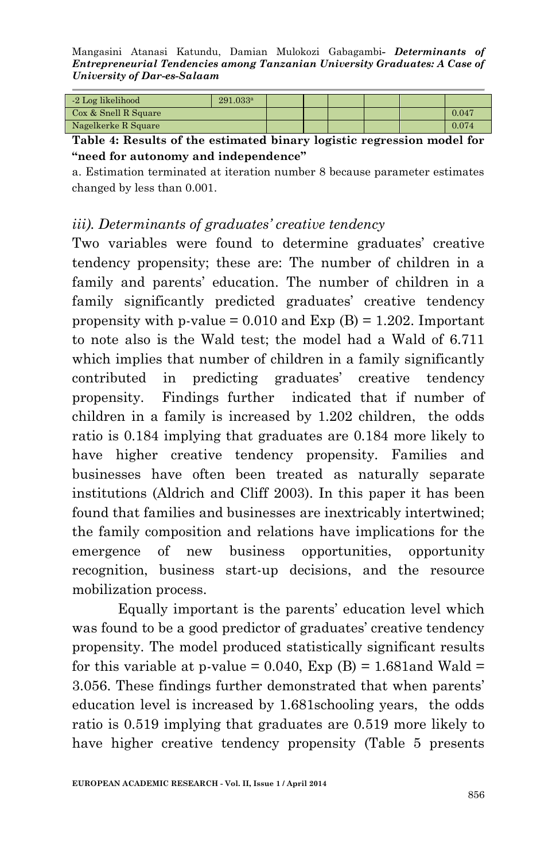Mangasini Atanasi Katundu, Damian Mulokozi Gabagambi*- Determinants of Entrepreneurial Tendencies among Tanzanian University Graduates: A Case of University of Dar-es-Salaam*

| -2 Log likelihood    | 291.033ª |  |  |       |
|----------------------|----------|--|--|-------|
| Cox & Snell R Square |          |  |  | 0.047 |
| Nagelkerke R Square  |          |  |  | 0.074 |

#### **Table 4: Results of the estimated binary logistic regression model for "need for autonomy and independence"**

a. Estimation terminated at iteration number 8 because parameter estimates changed by less than 0.001.

#### *iii). Determinants of graduates' creative tendency*

Two variables were found to determine graduates' creative tendency propensity; these are: The number of children in a family and parents' education. The number of children in a family significantly predicted graduates' creative tendency propensity with p-value =  $0.010$  and Exp (B) = 1.202. Important to note also is the Wald test; the model had a Wald of 6.711 which implies that number of children in a family significantly contributed in predicting graduates' creative tendency propensity. Findings further indicated that if number of children in a family is increased by 1.202 children, the odds ratio is 0.184 implying that graduates are 0.184 more likely to have higher creative tendency propensity. Families and businesses have often been treated as naturally separate institutions (Aldrich and Cliff 2003). In this paper it has been found that families and businesses are inextricably intertwined; the family composition and relations have implications for the emergence of new business opportunities, opportunity recognition, business start-up decisions, and the resource mobilization process.

Equally important is the parents' education level which was found to be a good predictor of graduates' creative tendency propensity. The model produced statistically significant results for this variable at p-value =  $0.040$ , Exp (B) = 1.681 and Wald = 3.056. These findings further demonstrated that when parents' education level is increased by 1.681schooling years, the odds ratio is 0.519 implying that graduates are 0.519 more likely to have higher creative tendency propensity (Table 5 presents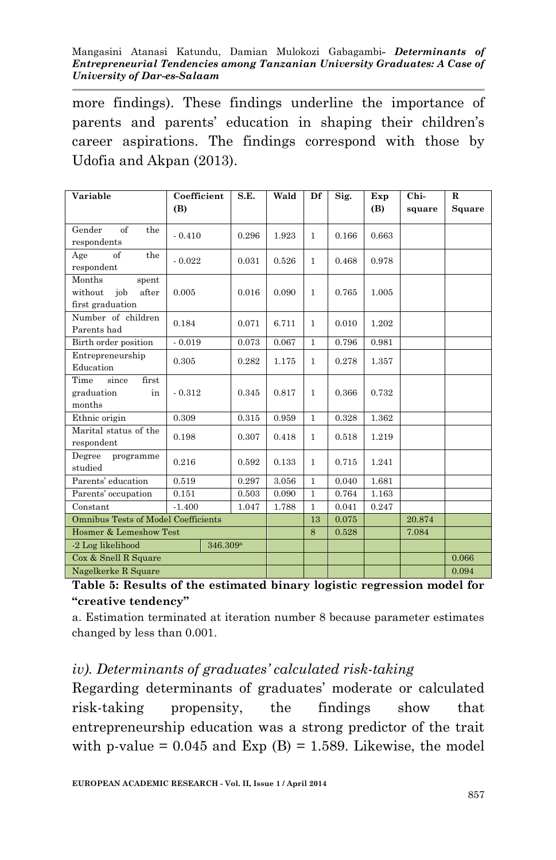more findings). These findings underline the importance of parents and parents' education in shaping their children's career aspirations. The findings correspond with those by Udofia and Akpan (2013).

| Variable                                                       | Coefficient<br>(B)   | S.E.  | Wald  | Df           | Sig.  | Exp<br>(B) | Chi-<br>square | R<br>Square |
|----------------------------------------------------------------|----------------------|-------|-------|--------------|-------|------------|----------------|-------------|
|                                                                |                      |       |       |              |       |            |                |             |
| $\sigma$ f<br>Gender<br>the<br>respondents                     | $-0.410$             | 0.296 | 1.923 | $\mathbf{1}$ | 0.166 | 0.663      |                |             |
| $\alpha$ f<br>Age<br>the<br>respondent                         | $-0.022$             | 0.031 | 0.526 | $\mathbf{1}$ | 0.468 | 0.978      |                |             |
| Months<br>spent<br>after<br>without<br>iob<br>first graduation | 0.005                | 0.016 | 0.090 | $\mathbf{1}$ | 0.765 | 1.005      |                |             |
| Number of children<br>Parents had                              | 0.184                | 0.071 | 6.711 | $\mathbf{1}$ | 0.010 | 1.202      |                |             |
| Birth order position                                           | $-0.019$             | 0.073 | 0.067 | $\mathbf{1}$ | 0.796 | 0.981      |                |             |
| Entrepreneurship<br>Education                                  | 0.305                | 0.282 | 1.175 | $\mathbf{1}$ | 0.278 | 1.357      |                |             |
| first<br>Time<br>since<br>graduation<br>in<br>months           | $-0.312$             | 0.345 | 0.817 | $\mathbf{1}$ | 0.366 | 0.732      |                |             |
| Ethnic origin                                                  | 0.309                | 0.315 | 0.959 | $\mathbf{1}$ | 0.328 | 1.362      |                |             |
| Marital status of the<br>respondent                            | 0.198                | 0.307 | 0.418 | $\mathbf{1}$ | 0.518 | 1.219      |                |             |
| Degree<br>programme<br>studied                                 | 0.216                | 0.592 | 0.133 | $\mathbf{1}$ | 0.715 | 1.241      |                |             |
| Parents' education                                             | 0.519                | 0.297 | 3.056 | $\mathbf{1}$ | 0.040 | 1.681      |                |             |
| Parents' occupation                                            | 0.151                | 0.503 | 0.090 | $\mathbf{1}$ | 0.764 | 1.163      |                |             |
| Constant                                                       | $-1.400$             | 1.047 | 1.788 | $\mathbf{1}$ | 0.041 | 0.247      |                |             |
| <b>Omnibus Tests of Model Coefficients</b>                     |                      |       |       | 13           | 0.075 |            | 20.874         |             |
| Hosmer & Lemeshow Test                                         |                      |       |       | 8            | 0.528 |            | 7.084          |             |
| -2 Log likelihood                                              | 346.309 <sup>a</sup> |       |       |              |       |            |                |             |
| Cox & Snell R Square                                           |                      |       |       |              |       |            |                | 0.066       |
| Nagelkerke R Square                                            |                      |       |       |              |       |            |                | 0.094       |

**Table 5: Results of the estimated binary logistic regression model for "creative tendency"**

a. Estimation terminated at iteration number 8 because parameter estimates changed by less than 0.001.

#### *iv). Determinants of graduates' calculated risk-taking*

Regarding determinants of graduates' moderate or calculated risk-taking propensity, the findings show that entrepreneurship education was a strong predictor of the trait with p-value  $= 0.045$  and Exp (B)  $= 1.589$ . Likewise, the model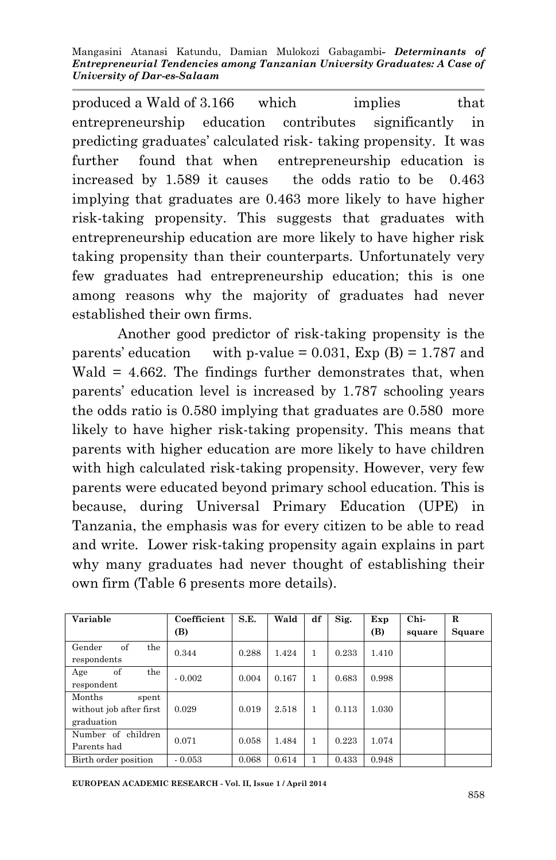Mangasini Atanasi Katundu, Damian Mulokozi Gabagambi*- Determinants of Entrepreneurial Tendencies among Tanzanian University Graduates: A Case of University of Dar-es-Salaam*

produced a Wald of 3.166 which implies that entrepreneurship education contributes significantly in predicting graduates' calculated risk- taking propensity. It was further found that when entrepreneurship education is increased by 1.589 it causes the odds ratio to be 0.463 implying that graduates are 0.463 more likely to have higher risk-taking propensity. This suggests that graduates with entrepreneurship education are more likely to have higher risk taking propensity than their counterparts. Unfortunately very few graduates had entrepreneurship education; this is one among reasons why the majority of graduates had never established their own firms.

Another good predictor of risk-taking propensity is the parents' education with p-value =  $0.031$ , Exp (B) = 1.787 and Wald  $=$  4.662. The findings further demonstrates that, when parents' education level is increased by 1.787 schooling years the odds ratio is 0.580 implying that graduates are 0.580 more likely to have higher risk-taking propensity. This means that parents with higher education are more likely to have children with high calculated risk-taking propensity. However, very few parents were educated beyond primary school education. This is because, during Universal Primary Education (UPE) in Tanzania, the emphasis was for every citizen to be able to read and write. Lower risk-taking propensity again explains in part why many graduates had never thought of establishing their own firm (Table 6 presents more details).

| Variable                                                 | Coefficient<br>(B) | S.E.  | Wald  | df | Sig.  | Exp<br>(B) | Chi-<br>square | $\mathbf R$<br>Square |
|----------------------------------------------------------|--------------------|-------|-------|----|-------|------------|----------------|-----------------------|
| Gender<br>of<br>the<br>respondents                       | 0.344              | 0.288 | 1.424 | 1  | 0.233 | 1.410      |                |                       |
| of<br>the<br>Age<br>respondent                           | $-0.002$           | 0.004 | 0.167 |    | 0.683 | 0.998      |                |                       |
| Months<br>spent<br>without job after first<br>graduation | 0.029              | 0.019 | 2.518 | 1  | 0.113 | 1.030      |                |                       |
| Number of children<br>Parents had                        | 0.071              | 0.058 | 1.484 | 1  | 0.223 | 1.074      |                |                       |
| Birth order position                                     | $-0.053$           | 0.068 | 0.614 |    | 0.433 | 0.948      |                |                       |

**EUROPEAN ACADEMIC RESEARCH - Vol. II, Issue 1 / April 2014**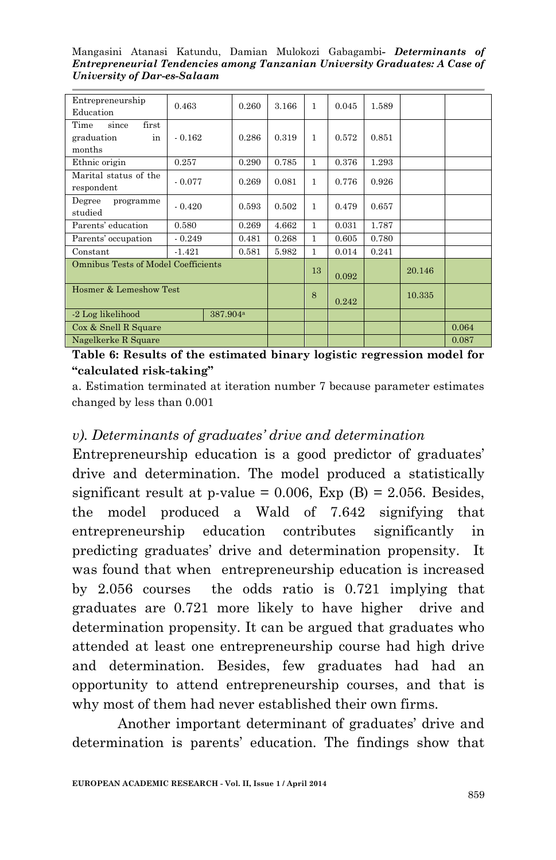Mangasini Atanasi Katundu, Damian Mulokozi Gabagambi*- Determinants of Entrepreneurial Tendencies among Tanzanian University Graduates: A Case of University of Dar-es-Salaam*

| Entrepreneurship                    |          |                      |       |              |       |       |        |       |
|-------------------------------------|----------|----------------------|-------|--------------|-------|-------|--------|-------|
|                                     | 0.463    | 0.260                | 3.166 | 1            | 0.045 | 1.589 |        |       |
| Education                           |          |                      |       |              |       |       |        |       |
| first<br>Time<br>since              |          |                      |       |              |       |       |        |       |
| graduation<br>in                    | $-0.162$ | 0.286                | 0.319 | 1            | 0.572 | 0.851 |        |       |
| months                              |          |                      |       |              |       |       |        |       |
| Ethnic origin                       | 0.257    | 0.290                | 0.785 | 1            | 0.376 | 1.293 |        |       |
| Marital status of the               |          |                      |       |              |       |       |        |       |
| respondent                          | $-0.077$ | 0.269                | 0.081 | 1            | 0.776 | 0.926 |        |       |
|                                     |          |                      |       |              |       |       |        |       |
| Degree<br>programme                 | $-0.420$ | 0.593                | 0.502 | 1            | 0.479 | 0.657 |        |       |
| studied                             |          |                      |       |              |       |       |        |       |
| Parents' education                  | 0.580    | 0.269                | 4.662 | $\mathbf{1}$ | 0.031 | 1.787 |        |       |
| Parents' occupation                 | $-0.249$ | 0.481                | 0.268 | 1            | 0.605 | 0.780 |        |       |
| Constant                            | $-1.421$ | 0.581                | 5.982 | 1            | 0.014 | 0.241 |        |       |
| Omnibus Tests of Model Coefficients |          |                      |       |              |       |       |        |       |
|                                     |          |                      |       | 13           | 0.092 |       | 20.146 |       |
| Hosmer & Lemeshow Test              |          |                      |       |              |       |       |        |       |
|                                     |          |                      |       | 8            |       |       | 10.335 |       |
|                                     |          |                      |       |              | 0.242 |       |        |       |
| -2 Log likelihood                   |          | 387.904 <sup>a</sup> |       |              |       |       |        |       |
| Cox & Snell R Square                |          |                      |       |              |       |       |        | 0.064 |
| Nagelkerke R Square                 |          |                      |       |              |       |       |        | 0.087 |

**Table 6: Results of the estimated binary logistic regression model for "calculated risk-taking"**

a. Estimation terminated at iteration number 7 because parameter estimates changed by less than 0.001

### *v). Determinants of graduates' drive and determination*

Entrepreneurship education is a good predictor of graduates' drive and determination. The model produced a statistically significant result at p-value =  $0.006$ , Exp (B) =  $2.056$ . Besides, the model produced a Wald of 7.642 signifying that entrepreneurship education contributes significantly in predicting graduates' drive and determination propensity. It was found that when entrepreneurship education is increased by 2.056 courses the odds ratio is 0.721 implying that graduates are 0.721 more likely to have higher drive and determination propensity. It can be argued that graduates who attended at least one entrepreneurship course had high drive and determination. Besides, few graduates had had an opportunity to attend entrepreneurship courses, and that is why most of them had never established their own firms.

Another important determinant of graduates' drive and determination is parents' education. The findings show that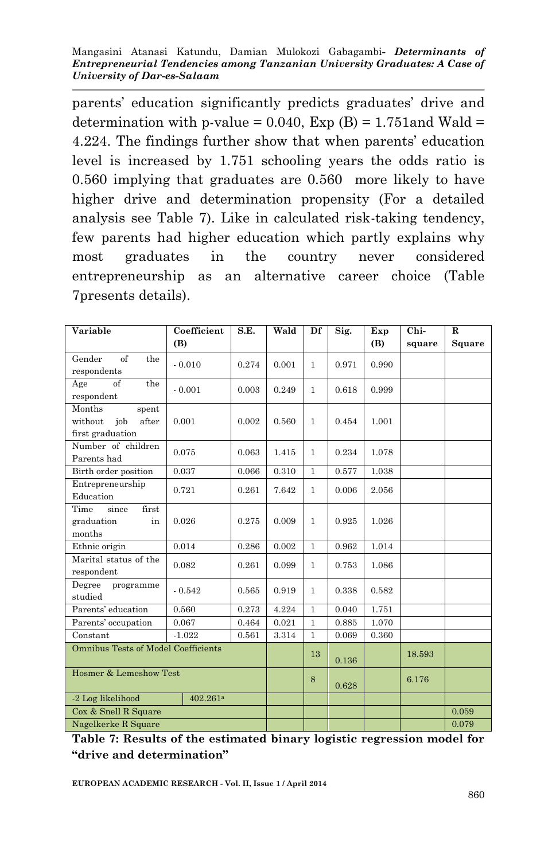parents' education significantly predicts graduates' drive and determination with p-value =  $0.040$ , Exp (B) = 1.751and Wald = 4.224. The findings further show that when parents' education level is increased by 1.751 schooling years the odds ratio is 0.560 implying that graduates are 0.560 more likely to have higher drive and determination propensity (For a detailed analysis see Table 7). Like in calculated risk-taking tendency, few parents had higher education which partly explains why most graduates in the country never considered entrepreneurship as an alternative career choice (Table 7presents details).

| Variable                                                       | Coefficient          | S.E.  | Wald  | Df           | Sig.  | Exp   | Chi-   | R      |
|----------------------------------------------------------------|----------------------|-------|-------|--------------|-------|-------|--------|--------|
|                                                                | (B)                  |       |       |              |       | (B)   | square | Square |
| $\sigma$ f<br>Gender<br>the<br>respondents                     | $-0.010$             | 0.274 | 0.001 | $\mathbf{1}$ | 0.971 | 0.990 |        |        |
| of<br>the<br>Age<br>respondent                                 | $-0.001$             | 0.003 | 0.249 | $\mathbf{1}$ | 0.618 | 0.999 |        |        |
| Months<br>spent<br>without<br>iob<br>after<br>first graduation | 0.001                | 0.002 | 0.560 | $\mathbf{1}$ | 0.454 | 1.001 |        |        |
| Number of children<br>Parents had                              | 0.075                | 0.063 | 1.415 | 1.           | 0.234 | 1.078 |        |        |
| Birth order position                                           | 0.037                | 0.066 | 0.310 | $\mathbf{1}$ | 0.577 | 1.038 |        |        |
| Entrepreneurship<br>Education                                  | 0.721                | 0.261 | 7.642 | 1            | 0.006 | 2.056 |        |        |
| first<br>Time<br>since<br>graduation<br>in<br>months           | 0.026                | 0.275 | 0.009 | $\mathbf{1}$ | 0.925 | 1.026 |        |        |
| Ethnic origin                                                  | 0.014                | 0.286 | 0.002 | $\mathbf{1}$ | 0.962 | 1.014 |        |        |
| Marital status of the<br>respondent                            | 0.082                | 0.261 | 0.099 | $\mathbf{1}$ | 0.753 | 1.086 |        |        |
| Degree<br>programme<br>studied                                 | $-0.542$             | 0.565 | 0.919 | $\mathbf{1}$ | 0.338 | 0.582 |        |        |
| Parents' education                                             | 0.560                | 0.273 | 4.224 | $\mathbf{1}$ | 0.040 | 1.751 |        |        |
| Parents' occupation                                            | 0.067                | 0.464 | 0.021 | $\mathbf{1}$ | 0.885 | 1.070 |        |        |
| Constant                                                       | $-1.022$             | 0.561 | 3.314 | 1            | 0.069 | 0.360 |        |        |
| <b>Omnibus Tests of Model Coefficients</b>                     |                      |       |       | 13           | 0.136 |       | 18.593 |        |
| Hosmer & Lemeshow Test                                         |                      |       |       | 8            | 0.628 |       | 6.176  |        |
| -2 Log likelihood                                              | 402.261 <sup>a</sup> |       |       |              |       |       |        |        |
| Cox & Snell R Square                                           |                      |       |       |              |       |       |        | 0.059  |
| Nagelkerke R Square                                            |                      |       |       |              |       |       |        | 0.079  |

**Table 7: Results of the estimated binary logistic regression model for "drive and determination"**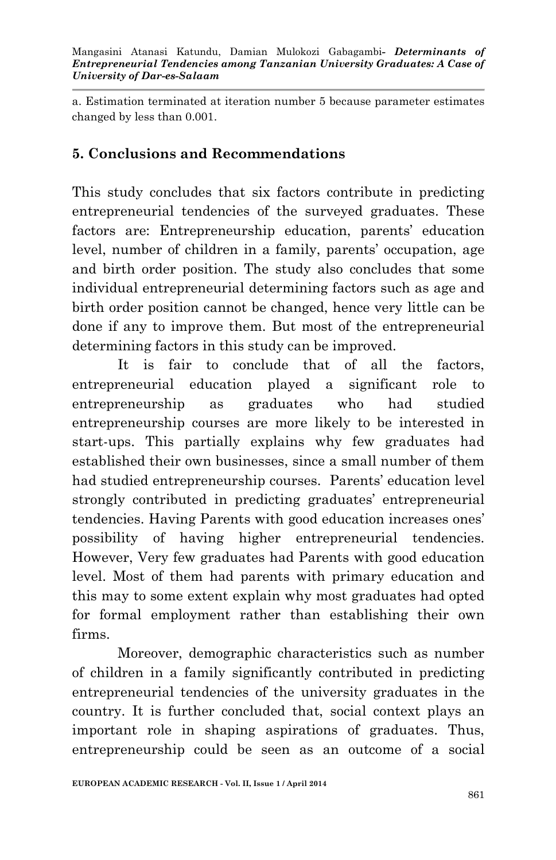a. Estimation terminated at iteration number 5 because parameter estimates changed by less than 0.001.

### **5. Conclusions and Recommendations**

This study concludes that six factors contribute in predicting entrepreneurial tendencies of the surveyed graduates. These factors are: Entrepreneurship education, parents' education level, number of children in a family, parents' occupation, age and birth order position. The study also concludes that some individual entrepreneurial determining factors such as age and birth order position cannot be changed, hence very little can be done if any to improve them. But most of the entrepreneurial determining factors in this study can be improved.

It is fair to conclude that of all the factors, entrepreneurial education played a significant role to entrepreneurship as graduates who had studied entrepreneurship courses are more likely to be interested in start-ups. This partially explains why few graduates had established their own businesses, since a small number of them had studied entrepreneurship courses. Parents' education level strongly contributed in predicting graduates' entrepreneurial tendencies. Having Parents with good education increases ones' possibility of having higher entrepreneurial tendencies. However, Very few graduates had Parents with good education level. Most of them had parents with primary education and this may to some extent explain why most graduates had opted for formal employment rather than establishing their own firms.

Moreover, demographic characteristics such as number of children in a family significantly contributed in predicting entrepreneurial tendencies of the university graduates in the country. It is further concluded that, social context plays an important role in shaping aspirations of graduates. Thus, entrepreneurship could be seen as an outcome of a social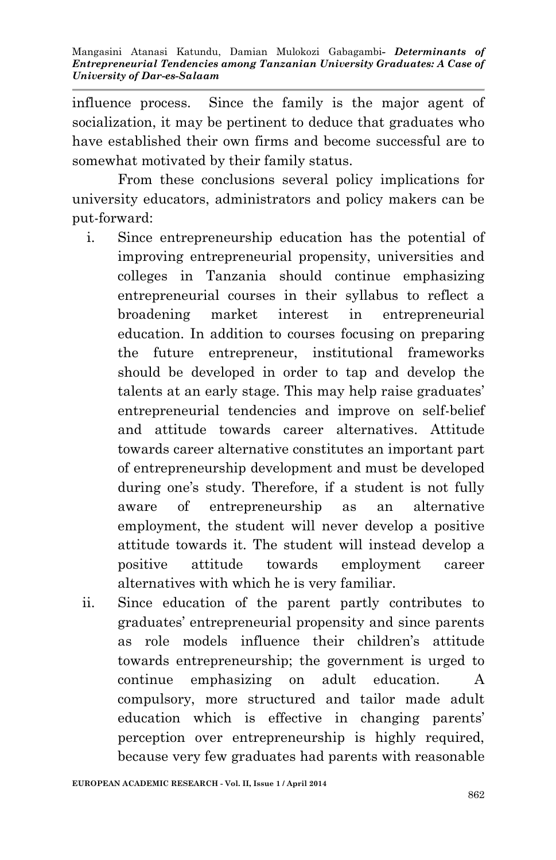influence process. Since the family is the major agent of socialization, it may be pertinent to deduce that graduates who have established their own firms and become successful are to somewhat motivated by their family status.

From these conclusions several policy implications for university educators, administrators and policy makers can be put-forward:

- i. Since entrepreneurship education has the potential of improving entrepreneurial propensity, universities and colleges in Tanzania should continue emphasizing entrepreneurial courses in their syllabus to reflect a broadening market interest in entrepreneurial education. In addition to courses focusing on preparing the future entrepreneur, institutional frameworks should be developed in order to tap and develop the talents at an early stage. This may help raise graduates' entrepreneurial tendencies and improve on self-belief and attitude towards career alternatives. Attitude towards career alternative constitutes an important part of entrepreneurship development and must be developed during one's study. Therefore, if a student is not fully aware of entrepreneurship as an alternative employment, the student will never develop a positive attitude towards it. The student will instead develop a positive attitude towards employment career alternatives with which he is very familiar.
- ii. Since education of the parent partly contributes to graduates' entrepreneurial propensity and since parents as role models influence their children's attitude towards entrepreneurship; the government is urged to continue emphasizing on adult education. A compulsory, more structured and tailor made adult education which is effective in changing parents' perception over entrepreneurship is highly required, because very few graduates had parents with reasonable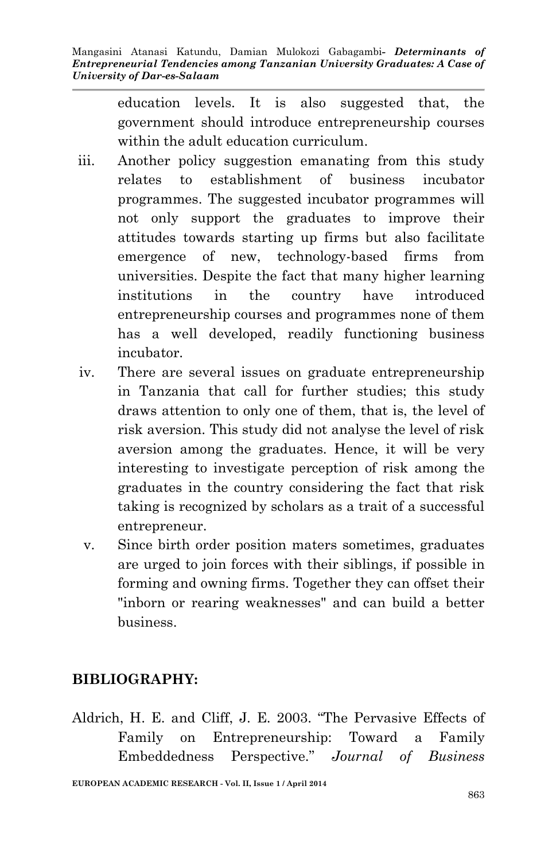education levels. It is also suggested that, the government should introduce entrepreneurship courses within the adult education curriculum.

- iii. Another policy suggestion emanating from this study relates to establishment of business incubator programmes. The suggested incubator programmes will not only support the graduates to improve their attitudes towards starting up firms but also facilitate emergence of new, technology-based firms from universities. Despite the fact that many higher learning institutions in the country have introduced entrepreneurship courses and programmes none of them has a well developed, readily functioning business incubator.
- iv. There are several issues on graduate entrepreneurship in Tanzania that call for further studies; this study draws attention to only one of them, that is, the level of risk aversion. This study did not analyse the level of risk aversion among the graduates. Hence, it will be very interesting to investigate perception of risk among the graduates in the country considering the fact that risk taking is recognized by scholars as a trait of a successful entrepreneur.
- v. Since birth order position maters sometimes, graduates are urged to join forces with their siblings, if possible in forming and owning firms. Together they can offset their "inborn or rearing weaknesses" and can build a better business.

## **BIBLIOGRAPHY:**

Aldrich, H. E. and Cliff, J. E. 2003. "The Pervasive Effects of Family on Entrepreneurship: Toward a Family Embeddedness Perspective." *Journal of Business*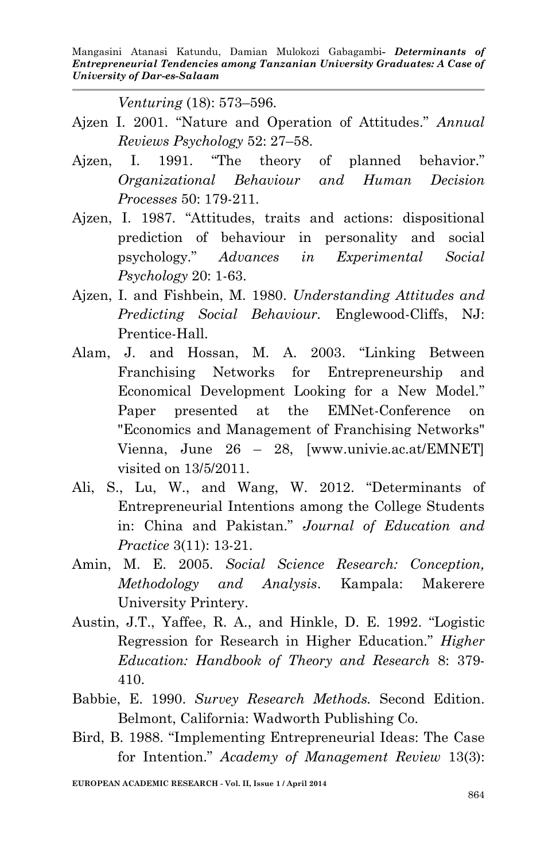*Venturing* (18): 573–596.

- Ajzen I. 2001. "Nature and Operation of Attitudes." *Annual Reviews Psychology* 52: 27–58.
- Ajzen, I. 1991. "The theory of planned behavior." *Organizational Behaviour and Human Decision Processes* 50: 179-211.
- Ajzen, I. 1987. "Attitudes, traits and actions: dispositional prediction of behaviour in personality and social psychology." *Advances in Experimental Social Psychology* 20: 1-63.
- Ajzen, I. and Fishbein, M. 1980. *Understanding Attitudes and Predicting Social Behaviour.* Englewood-Cliffs, NJ: Prentice-Hall.
- Alam, J. and Hossan, M. A. 2003. "Linking Between Franchising Networks for Entrepreneurship and Economical Development Looking for a New Model." Paper presented at the EMNet-Conference on "Economics and Management of Franchising Networks" Vienna, June 26 – 28, [www.univie.ac.at/EMNET] visited on 13/5/2011.
- Ali, S., Lu, W., and Wang, W. 2012. "Determinants of Entrepreneurial Intentions among the College Students in: China and Pakistan." *Journal of Education and Practice* 3(11): 13-21.
- Amin, M. E. 2005. *Social Science Research: Conception, Methodology and Analysis*. Kampala: Makerere University Printery.
- Austin, J.T., Yaffee, R. A., and Hinkle, D. E. 1992. "Logistic Regression for Research in Higher Education." *Higher Education: Handbook of Theory and Research* 8: 379- 410.
- Babbie, E. 1990. *Survey Research Methods.* Second Edition. Belmont, California: Wadworth Publishing Co.
- Bird, B. 1988. "Implementing Entrepreneurial Ideas: The Case for Intention." *Academy of Management Review* 13(3):

**EUROPEAN ACADEMIC RESEARCH - Vol. II, Issue 1 / April 2014**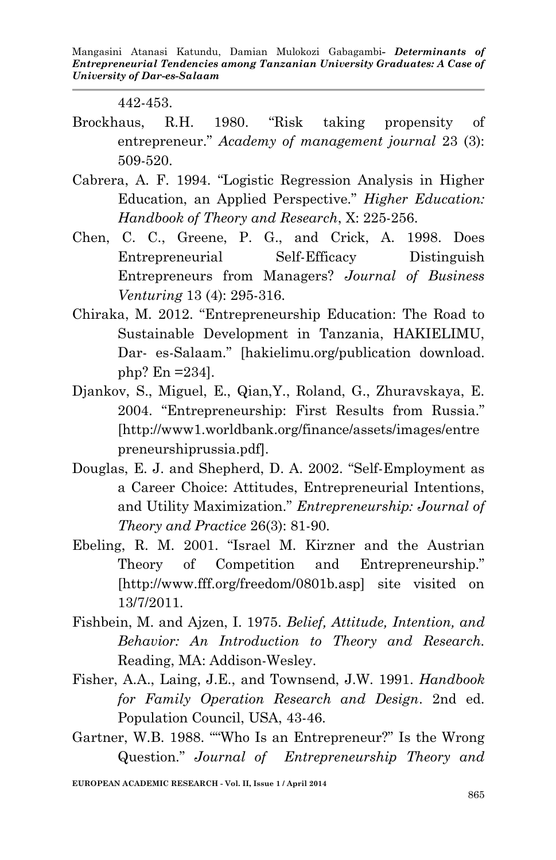442-453.

- Brockhaus, R.H. 1980. "Risk taking propensity of entrepreneur." *Academy of management journal* 23 (3): 509-520.
- Cabrera, A. F. 1994. "Logistic Regression Analysis in Higher Education, an Applied Perspective." *Higher Education: Handbook of Theory and Research*, X: 225-256.
- Chen, C. C., Greene, P. G., and Crick, A. 1998. Does Entrepreneurial Self-Efficacy Distinguish Entrepreneurs from Managers? *Journal of Business Venturing* 13 (4): 295-316.
- Chiraka, M. 2012. "Entrepreneurship Education: The Road to Sustainable Development in Tanzania, HAKIELIMU, Dar- es-Salaam." [hakielimu.org/publication download. php? En =234].
- Djankov, S., Miguel, E., Qian,Y., Roland, G., Zhuravskaya, E. 2004. "Entrepreneurship: First Results from Russia." [http://www1.worldbank.org/finance/assets/images/entre preneurshiprussia.pdf].
- Douglas, E. J. and Shepherd, D. A. 2002. "Self-Employment as a Career Choice: Attitudes, Entrepreneurial Intentions, and Utility Maximization." *Entrepreneurship: Journal of Theory and Practice* 26(3): 81-90.
- Ebeling, R. M. 2001. "Israel M. Kirzner and the Austrian Theory of Competition and Entrepreneurship." [http://www.fff.org/freedom/0801b.asp] site visited on 13/7/2011.
- Fishbein, M. and Ajzen, I. 1975. *Belief, Attitude, Intention, and Behavior: An Introduction to Theory and Research.* Reading, MA: Addison-Wesley.
- Fisher, A.A., Laing, J.E., and Townsend, J.W. 1991. *Handbook for Family Operation Research and Design*. 2nd ed. Population Council, USA, 43-46.
- Gartner, W.B. 1988. ""Who Is an Entrepreneur?" Is the Wrong Question." *Journal of Entrepreneurship Theory and*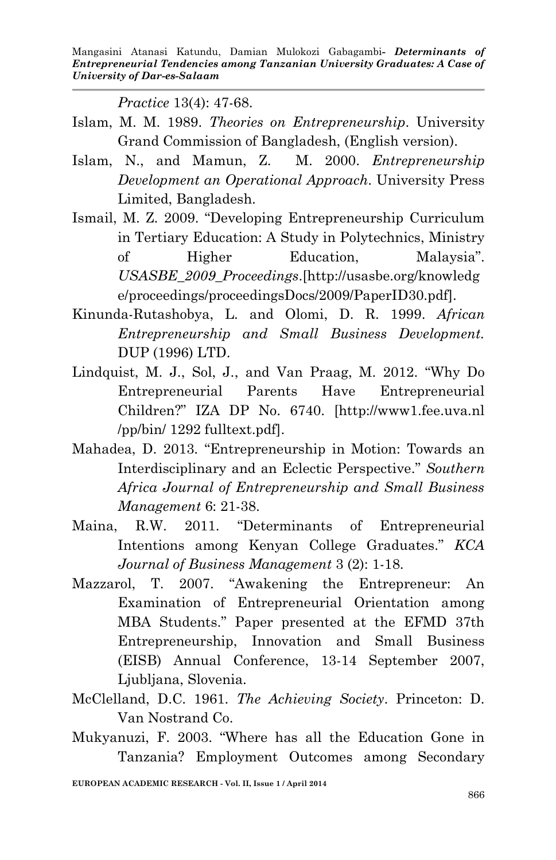*Practice* 13(4): 47-68.

- Islam, M. M. 1989. *Theories on Entrepreneurship*. University Grand Commission of Bangladesh, (English version).
- Islam, N., and Mamun, Z. M. 2000. *Entrepreneurship Development an Operational Approach*. University Press Limited, Bangladesh.
- Ismail, M. Z. 2009. "Developing Entrepreneurship Curriculum in Tertiary Education: A Study in Polytechnics, Ministry of Higher Education, Malaysia". *USASBE\_2009\_Proceedings*.[http://usasbe.org/knowledg e/proceedings/proceedingsDocs/2009/PaperID30.pdf].
- Kinunda-Rutashobya, L. and Olomi, D. R. 1999. *African Entrepreneurship and Small Business Development.* DUP (1996) LTD.
- Lindquist, M. J., Sol, J., and Van Praag, M. 2012. "Why Do Entrepreneurial Parents Have Entrepreneurial Children?" IZA DP No. 6740. [http://www1.fee.uva.nl /pp/bin/ 1292 fulltext.pdf].
- Mahadea, D. 2013. "Entrepreneurship in Motion: Towards an Interdisciplinary and an Eclectic Perspective." *Southern Africa Journal of Entrepreneurship and Small Business Management* 6: 21-38.
- Maina, R.W. 2011. "Determinants of Entrepreneurial Intentions among Kenyan College Graduates." *KCA Journal of Business Management* 3 (2): 1-18.
- Mazzarol, T. 2007. "Awakening the Entrepreneur: An Examination of Entrepreneurial Orientation among MBA Students." Paper presented at the EFMD 37th Entrepreneurship, Innovation and Small Business (EISB) Annual Conference, 13-14 September 2007, Ljubljana, Slovenia.
- McClelland, D.C. 1961. *The Achieving Society*. Princeton: D. Van Nostrand Co.
- Mukyanuzi, F. 2003. "Where has all the Education Gone in Tanzania? Employment Outcomes among Secondary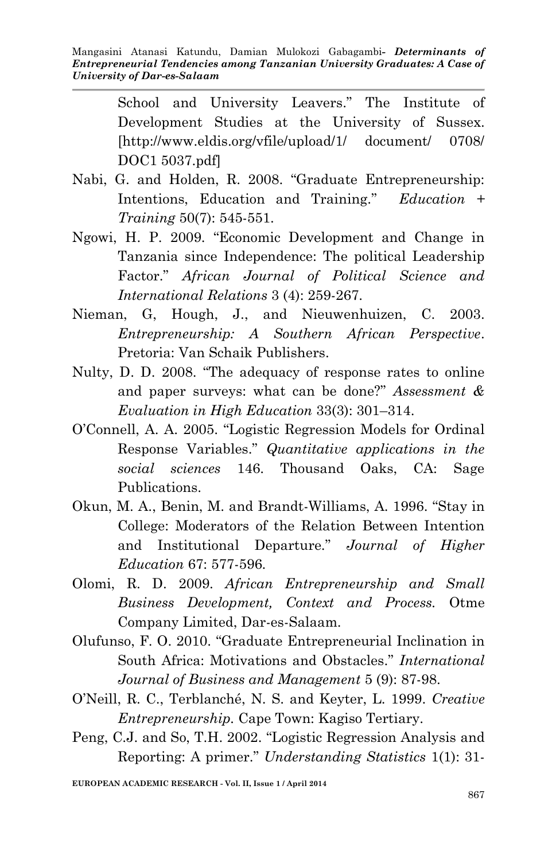School and University Leavers." The Institute of Development Studies at the University of Sussex. [http://www.eldis.org/vfile/upload/1/ document/ 0708/ DOC1 5037.pdf]

- Nabi, G. and Holden, R. 2008. "Graduate Entrepreneurship: Intentions, Education and Training." *Education + Training* 50(7): 545-551.
- Ngowi, H. P. 2009. "Economic Development and Change in Tanzania since Independence: The political Leadership Factor." *African Journal of Political Science and International Relations* 3 (4): 259-267.
- Nieman, G, Hough, J., and Nieuwenhuizen, C. 2003. *Entrepreneurship: A Southern African Perspective*. Pretoria: Van Schaik Publishers.
- Nulty, D. D. 2008. "The adequacy of response rates to online and paper surveys: what can be done?" *Assessment & Evaluation in High Education* 33(3): 301–314.
- O'Connell, A. A. 2005. "Logistic Regression Models for Ordinal Response Variables." *Quantitative applications in the social sciences* 146. Thousand Oaks, CA: Sage Publications.
- Okun, M. A., Benin, M. and Brandt-Williams, A. 1996. "Stay in College: Moderators of the Relation Between Intention and Institutional Departure." *Journal of Higher Education* 67: 577-596.
- Olomi, R. D. 2009. *African Entrepreneurship and Small Business Development, Context and Process.* Otme Company Limited, Dar-es-Salaam.
- Olufunso, F. O. 2010. "Graduate Entrepreneurial Inclination in South Africa: Motivations and Obstacles." *International Journal of Business and Management* 5 (9): 87-98.
- O'Neill, R. C., Terblanché, N. S. and Keyter, L. 1999. *Creative Entrepreneurship.* Cape Town: Kagiso Tertiary.
- Peng, C.J. and So, T.H. 2002. "Logistic Regression Analysis and Reporting: A primer." *Understanding Statistics* 1(1): 31-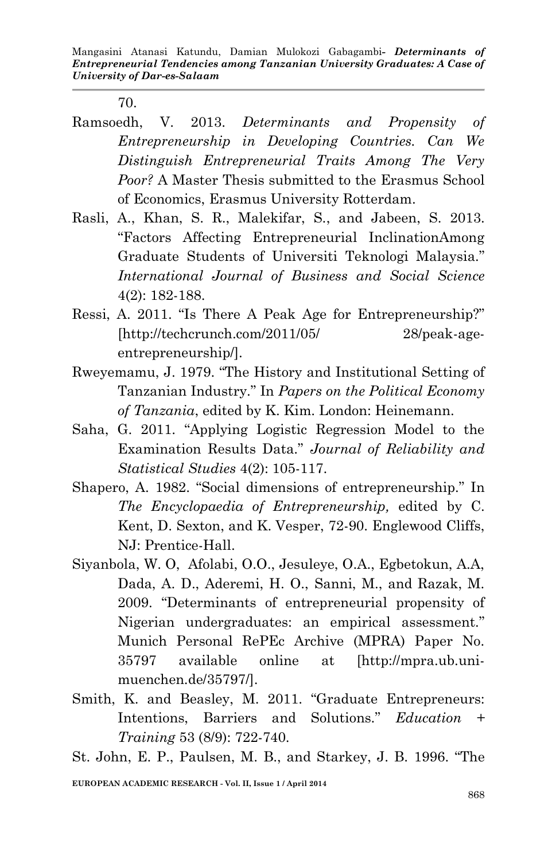70.

- Ramsoedh, V. 2013. *Determinants and Propensity of Entrepreneurship in Developing Countries. Can We Distinguish Entrepreneurial Traits Among The Very Poor?* A Master Thesis submitted to the Erasmus School of Economics, Erasmus University Rotterdam.
- Rasli, A., Khan, S. R., Malekifar, S., and Jabeen, S. 2013. "Factors Affecting Entrepreneurial InclinationAmong Graduate Students of Universiti Teknologi Malaysia." *International Journal of Business and Social Science* 4(2): 182-188.
- Ressi, A. 2011. "Is There A Peak Age for Entrepreneurship?" [http://techcrunch.com/2011/05/ 28/peak-ageentrepreneurship/].
- Rweyemamu, J. 1979. "The History and Institutional Setting of Tanzanian Industry." In *Papers on the Political Economy of Tanzania*, edited by K. Kim. London: Heinemann.
- Saha, G. 2011. "Applying Logistic Regression Model to the Examination Results Data." *Journal of Reliability and Statistical Studies* 4(2): 105-117.
- Shapero, A. 1982. "Social dimensions of entrepreneurship." In *The Encyclopaedia of Entrepreneurship,* edited by C. Kent, D. Sexton, and K. Vesper, 72-90. Englewood Cliffs, NJ: Prentice-Hall.
- Siyanbola, W. O, Afolabi, O.O., Jesuleye, O.A., Egbetokun, A.A, Dada, A. D., Aderemi, H. O., Sanni, M., and Razak, M. 2009. "Determinants of entrepreneurial propensity of Nigerian undergraduates: an empirical assessment." Munich Personal RePEc Archive (MPRA) Paper No. 35797 available online at [http://mpra.ub.unimuenchen.de/35797/].
- Smith, K. and Beasley, M. 2011. "Graduate Entrepreneurs: Intentions, Barriers and Solutions." *Education + Training* 53 (8/9): 722-740.
- St. John, E. P., Paulsen, M. B., and Starkey, J. B. 1996. "The